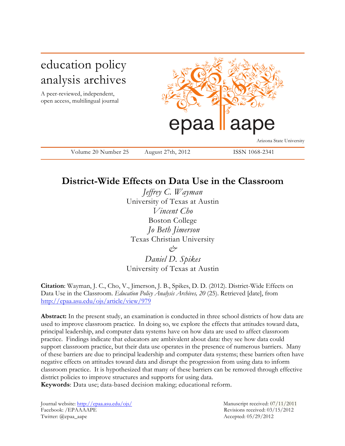

# **District-Wide Effects on Data Use in the Classroom**

*Jeffrey C. Wayman* University of Texas at Austin *Vincent Cho* Boston College *Jo Beth Jimerson* Texas Christian University *&* 

*Daniel D. Spikes* University of Texas at Austin

**Citation**: Wayman, J. C., Cho, V., Jimerson, J. B., Spikes, D. D. (2012). District-Wide Effects on Data Use in the Classroom. *Education Policy Analysis Archives, 20* (25). Retrieved [date], from http://epaa.asu.edu/ojs/article/view/979

**Abstract:** In the present study, an examination is conducted in three school districts of how data are used to improve classroom practice. In doing so, we explore the effects that attitudes toward data, principal leadership, and computer data systems have on how data are used to affect classroom practice. Findings indicate that educators are ambivalent about data: they see how data could support classroom practice, but their data use operates in the presence of numerous barriers. Many of these barriers are due to principal leadership and computer data systems; these barriers often have negative effects on attitudes toward data and disrupt the progression from using data to inform classroom practice. It is hypothesized that many of these barriers can be removed through effective district policies to improve structures and supports for using data.

**Keywords**: Data use; data-based decision making; educational reform.

Journal website: http://epaa.asu.edu/ojs/ Manuscript received: 07/11/2011 Facebook: /EPAAAAPE Revisions received: 03/15/2012 Twitter: @epaa\_aape Accepted: 05/29/2012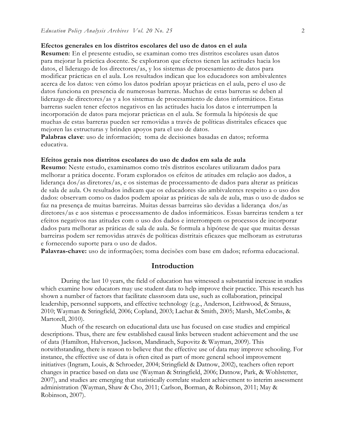### **Efectos generales en los distritos escolares del uso de datos en el aula**

**Resumen**: En el presente estudio, se examinan como tres distritos escolares usan datos para mejorar la práctica docente. Se exploraron que efectos tienen las actitudes hacia los datos, el liderazgo de los directores/as, y los sistemas de procesamiento de datos para modificar prácticas en el aula. Los resultados indican que los educadores son ambivalentes acerca de los datos: ven cómo los datos podrían apoyar prácticas en el aula, pero el uso de datos funciona en presencia de numerosas barreras. Muchas de estas barreras se deben al liderazgo de directores/as y a los sistemas de procesamiento de datos informáticos. Estas barreras suelen tener efectos negativos en las actitudes hacia los datos e interrumpen la incorporación de datos para mejorar prácticas en el aula. Se formula la hipótesis de que muchas de estas barreras pueden ser removidas a través de políticas distritales eficaces que mejoren las estructuras y brinden apoyos para el uso de datos.

Palabras clave: uso de información; toma de decisiones basadas en datos; reforma educativa.

### **Efeitos gerais nos distritos escolares do uso de dados em sala de aula**

**Resumo**: Neste estudo, examinamos como três distritos escolares utilizaram dados para melhorar a prática docente. Foram explorados os efeitos de atitudes em relação aos dados, a liderança dos/as diretores/as, e os sistemas de processamento de dados para alterar as práticas de sala de aula. Os resultados indicam que os educadores são ambivalentes respeito a o uso dos dados: observam como os dados podem apoiar as práticas de sala de aula, mas o uso de dados se faz na presença de muitas barreiras. Muitas dessas barreiras são devidas a liderança dos/as diretores/as e aos sistemas e processamento de dados informáticos. Essas barreiras tendem a ter efeitos negativos nas atitudes com o uso dos dados e interrompem os processos de incorporar dados para melhorar as práticas de sala de aula. Se formula a hipótese de que que muitas dessas barreiras podem ser removidas através de políticas distritais eficazes que melhoram as estruturas e fornecendo suporte para o uso de dados.

**Palavras-chave:** uso de informações; toma decisões com base em dados; reforma educacional.

## **Introduction**

During the last 10 years, the field of education has witnessed a substantial increase in studies which examine how educators may use student data to help improve their practice. This research has shown a number of factors that facilitate classroom data use, such as collaboration, principal leadership, personnel supports, and effective technology (e.g., Anderson, Leithwood, & Strauss, 2010; Wayman & Stringfield, 2006; Copland, 2003; Lachat & Smith, 2005; Marsh, McCombs, & Martorell, 2010).

Much of the research on educational data use has focused on case studies and empirical descriptions. Thus, there are few established causal links between student achievement and the use of data (Hamilton, Halverson, Jackson, Mandinach, Supovitz & Wayman, 2009). This notwithstanding, there is reason to believe that the effective use of data may improve schooling. For instance, the effective use of data is often cited as part of more general school improvement initiatives (Ingram, Louis, & Schroeder, 2004; Stringfield & Datnow, 2002), teachers often report changes in practice based on data use (Wayman & Stringfield, 2006; Datnow, Park, & Wohlstetter, 2007), and studies are emerging that statistically correlate student achievement to interim assessment administration (Wayman, Shaw & Cho, 2011; Carlson, Borman, & Robinson, 2011; May & Robinson, 2007).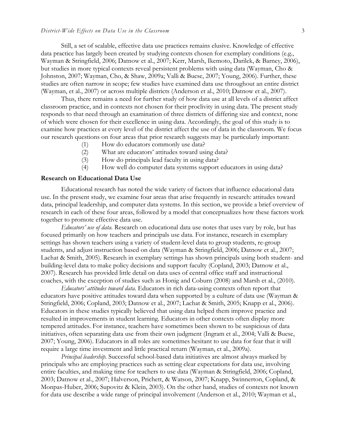Still, a set of scalable, effective data use practices remains elusive. Knowledge of effective data practice has largely been created by studying contexts chosen for exemplary conditions (e.g., Wayman & Stringfield, 2006; Datnow et al., 2007; Kerr, Marsh, Ikemoto, Darilek, & Barney, 2006), but studies in more typical contexts reveal persistent problems with using data (Wayman, Cho & Johnston, 2007; Wayman, Cho, & Shaw, 2009a; Valli & Buese, 2007; Young, 2006). Further, these studies are often narrow in scope; few studies have examined data use throughout an entire district (Wayman, et al., 2007) or across multiple districts (Anderson et al., 2010; Datnow et al., 2007).

Thus, there remains a need for further study of how data use at all levels of a district affect classroom practice, and in contexts not chosen for their proclivity in using data. The present study responds to that need through an examination of three districts of differing size and context, none of which were chosen for their excellence in using data. Accordingly, the goal of this study is to examine how practices at every level of the district affect the use of data in the classroom. We focus our research questions on four areas that prior research suggests may be particularly important:

- (1) How do educators commonly use data?
- (2) What are educators' attitudes toward using data?
- (3) How do principals lead faculty in using data?
- (4) How well do computer data systems support educators in using data?

# **Research on Educational Data Use**

Educational research has noted the wide variety of factors that influence educational data use. In the present study, we examine four areas that arise frequently in research: attitudes toward data, principal leadership, and computer data systems. In this section, we provide a brief overview of research in each of these four areas, followed by a model that conceptualizes how these factors work together to promote effective data use.

*Educators' use of data.* Research on educational data use notes that uses vary by role, but has focused primarily on how teachers and principals use data. For instance, research in exemplary settings has shown teachers using a variety of student-level data to group students, re-group students, and adjust instruction based on data (Wayman & Stringfield, 2006; Datnow et al., 2007; Lachat & Smith, 2005). Research in exemplary settings has shown principals using both student- and building-level data to make policy decisions and support faculty (Copland, 2003; Datnow et al., 2007). Research has provided little detail on data uses of central office staff and instructional coaches, with the exception of studies such as Honig and Coburn (2008) and Marsh et al., (2010).

*Educators' attitudes toward data*. Educators in rich data-using contexts often report that educators have positive attitudes toward data when supported by a culture of data use (Wayman & Stringfield, 2006; Copland, 2003; Datnow et al., 2007; Lachat & Smith, 2005; Knapp et al., 2006). Educators in these studies typically believed that using data helped them improve practice and resulted in improvements in student learning. Educators in other contexts often display more tempered attitudes. For instance, teachers have sometimes been shown to be suspicious of data initiatives, often separating data use from their own judgment (Ingram et al., 2004; Valli & Buese, 2007; Young, 2006). Educators in all roles are sometimes hesitant to use data for fear that it will require a large time investment and little practical return (Wayman, et al., 2009a).

*Principal leadership.* Successful school-based data initiatives are almost always marked by principals who are employing practices such as setting clear expectations for data use, involving entire faculties, and making time for teachers to use data (Wayman & Stringfield, 2006; Copland, 2003; Datnow et al., 2007; Halverson, Prichett, & Watson, 2007; Knapp, Swinnerton, Copland, & Monpas-Huber, 2006; Supovitz & Klein, 2003). On the other hand, studies of contexts not known for data use describe a wide range of principal involvement (Anderson et al., 2010; Wayman et al.,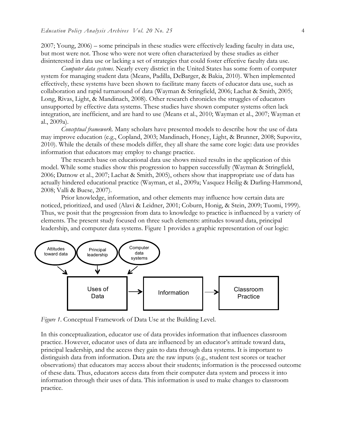2007; Young, 2006) – some principals in these studies were effectively leading faculty in data use, but most were not. Those who were not were often characterized by these studies as either disinterested in data use or lacking a set of strategies that could foster effective faculty data use.

*Computer data systems*. Nearly every district in the United States has some form of computer system for managing student data (Means, Padilla, DeBarger, & Bakia, 2010). When implemented effectively, these systems have been shown to facilitate many facets of educator data use, such as collaboration and rapid turnaround of data (Wayman & Stringfield, 2006; Lachat & Smith, 2005; Long, Rivas, Light, & Mandinach, 2008). Other research chronicles the struggles of educators unsupported by effective data systems. These studies have shown computer systems often lack integration, are inefficient, and are hard to use (Means et al., 2010; Wayman et al., 2007; Wayman et al., 2009a).

*Conceptual framework.* Many scholars have presented models to describe how the use of data may improve education (e.g., Copland, 2003; Mandinach, Honey, Light, & Brunner, 2008; Supovitz, 2010). While the details of these models differ, they all share the same core logic: data use provides information that educators may employ to change practice.

The research base on educational data use shows mixed results in the application of this model. While some studies show this progression to happen successfully (Wayman & Stringfield, 2006; Datnow et al., 2007; Lachat & Smith, 2005), others show that inappropriate use of data has actually hindered educational practice (Wayman, et al., 2009a; Vasquez Heilig & Darling-Hammond, 2008; Valli & Buese, 2007).

Prior knowledge, information, and other elements may influence how certain data are noticed, prioritized, and used (Alavi & Leidner, 2001; Coburn, Honig, & Stein, 2009; Tuomi, 1999). Thus, we posit that the progression from data to knowledge to practice is influenced by a variety of elements. The present study focused on three such elements: attitudes toward data, principal leadership, and computer data systems. Figure 1 provides a graphic representation of our logic:



*Figure 1*. Conceptual Framework of Data Use at the Building Level.

In this conceptualization, educator use of data provides information that influences classroom practice. However, educator uses of data are influenced by an educator's attitude toward data, principal leadership, and the access they gain to data through data systems. It is important to distinguish data from information. Data are the raw inputs (e.g., student test scores or teacher observations) that educators may access about their students; information is the processed outcome of these data. Thus, educators access data from their computer data system and process it into information through their uses of data. This information is used to make changes to classroom practice.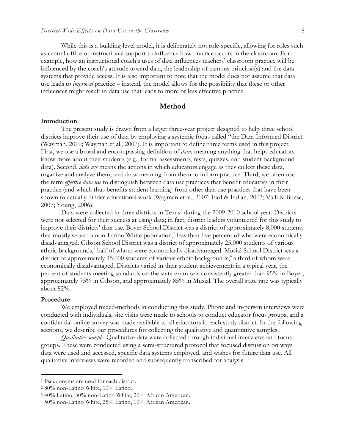While this is a building-level model, it is deliberately not role-specific, allowing for roles such as central office or instructional support to influence how practice occurs in the classroom. For example, how an instructional coach's uses of data influences teachers' classroom practice will be influenced by the coach's attitude toward data, the leadership of campus principal(s) and the data systems that provide access. It is also important to note that the model does not assume that data use leads to *improved* practice – instead, the model allows for the possibility that these or other influences might result in data use that leads to more or less effective practice.

# **Method**

#### **Introduction**

The present study is drawn from a larger three-year project designed to help three school districts improve their use of data by employing a systemic focus called "the Data-Informed District (Wayman, 2010; Wayman et al., 2007). It is important to define three terms used in this project. First, we use a broad and encompassing definition of *data,* meaning anything that helps educators know more about their students (e.g., formal assessments, tests, quizzes, and student background data). Second, *data use* means the actions in which educators engage as they collect these data, organize and analyze them, and draw meaning from them to inform practice. Third, we often use the term *effective data use* to distinguish between data use practices that benefit educators in their practice (and which thus benefits student learning) from other data use practices that have been shown to actually hinder educational work (Wayman et al., 2007; Earl & Fullan, 2003; Valli & Buese, 2007; Young, 2006).

Data were collected in three districts in Texas<sup>1</sup> during the 2009-2010 school year. Districts were not selected for their success at using data; in fact, district leaders volunteered for this study to improve their districts' data use. Boyer School District was a district of approximately 8,000 students that mostly served a non-Latino White population, $\frac{2}{3}$  less than five percent of who were economically disadvantaged. Gibson School District was a district of approximately 25,000 students of various ethnic backgrounds,<sup>3</sup> half of whom were economically disadvantaged. Musial School District was a district of approximately 45,000 students of various ethnic backgrounds, $4$  a third of whom were economically disadvantaged. Districts varied in their student achievement: in a typical year, the percent of students meeting standards on the state exam was consistently greater than 95% in Boyer, approximately 75% in Gibson, and approximately 85% in Musial. The overall state rate was typically about 82%.

#### **Procedure**

We employed mixed-methods in conducting this study. Phone and in-person interviews were conducted with individuals, site visits were made to schools to conduct educator focus groups, and a confidential online survey was made available to all educators in each study district. In the following sections, we describe our procedures for collecting the qualitative and quantitative samples.

*Qualitative sample.* Qualitative data were collected through individual interviews and focus groups. These were conducted using a semi-structured protocol that focused discussion on ways data were used and accessed, specific data systems employed, and wishes for future data use. All qualitative interviews were recorded and subsequently transcribed for analysis.

 <sup>1</sup> Pseudonyms are used for each district.

<sup>2</sup> 80% non-Latino White, 10% Latino.

<sup>3</sup> 40% Latino, 30% non-Latino White, 20% African American.

<sup>4</sup> 50% non-Latino White, 25% Latino, 10% African American.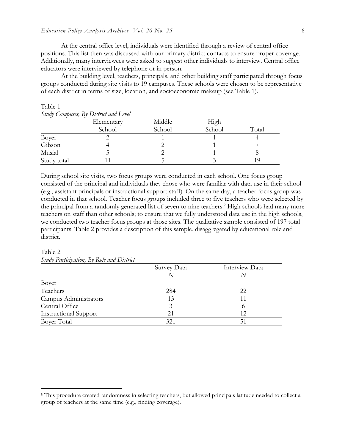At the central office level, individuals were identified through a review of central office positions. This list then was discussed with our primary district contacts to ensure proper coverage. Additionally, many interviewees were asked to suggest other individuals to interview. Central office educators were interviewed by telephone or in person.

At the building level, teachers, principals, and other building staff participated through focus groups conducted during site visits to 19 campuses. These schools were chosen to be representative of each district in terms of size, location, and socioeconomic makeup (see Table 1).

| Study Campuses, By District and Level |            |        |        |       |  |  |
|---------------------------------------|------------|--------|--------|-------|--|--|
|                                       | Elementary | Middle | High   |       |  |  |
|                                       | School     | School | School | Total |  |  |
| Boyer                                 |            |        |        |       |  |  |
| Gibson                                |            |        |        |       |  |  |
| Musial                                |            |        |        |       |  |  |
| Study total                           |            |        |        |       |  |  |

# Table 1

During school site visits, two focus groups were conducted in each school. One focus group consisted of the principal and individuals they chose who were familiar with data use in their school (e.g., assistant principals or instructional support staff). On the same day, a teacher focus group was conducted in that school. Teacher focus groups included three to five teachers who were selected by the principal from a randomly generated list of seven to nine teachers.<sup>5</sup> High schools had many more teachers on staff than other schools; to ensure that we fully understood data use in the high schools, we conducted two teacher focus groups at those sites. The qualitative sample consisted of 197 total participants. Table 2 provides a description of this sample, disaggregated by educational role and district.

#### Table 2 *Study Participation, By Role and District*

| Sinay Larinipation, Dy Issue and District |             |                |  |  |  |  |
|-------------------------------------------|-------------|----------------|--|--|--|--|
|                                           | Survey Data | Interview Data |  |  |  |  |
|                                           |             |                |  |  |  |  |
| Boyer                                     |             |                |  |  |  |  |
| Teachers                                  | 284         | 22             |  |  |  |  |
| Campus Administrators                     | 13          |                |  |  |  |  |
| Central Office                            | 3           | $\Omega$       |  |  |  |  |
| <b>Instructional Support</b>              | 21          | 12             |  |  |  |  |
| <b>Boyer Total</b>                        | 321         | 51             |  |  |  |  |

 <sup>5</sup> This procedure created randomness in selecting teachers, but allowed principals latitude needed to collect a group of teachers at the same time (e.g., finding coverage).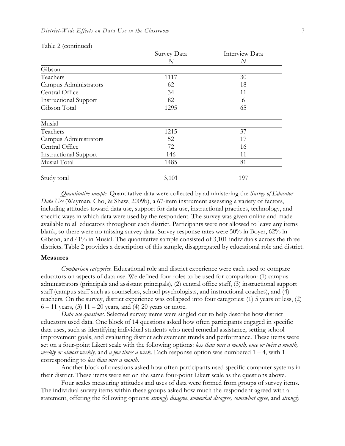| Table 2 (continued)          |             |                |
|------------------------------|-------------|----------------|
|                              | Survey Data | Interview Data |
|                              | N           | N              |
| Gibson                       |             |                |
| Teachers                     | 1117        | 30             |
| Campus Administrators        | 62          | 18             |
| Central Office               | 34          | 11             |
| <b>Instructional Support</b> | 82          | 6              |
| Gibson Total                 | 1295        | 65             |
| Musial                       |             |                |
| Teachers                     | 1215        | 37             |
| Campus Administrators        | 52          | 17             |
| Central Office               | 72          | 16             |
| <b>Instructional Support</b> | 146         | 11             |
| Musial Total                 | 1485        | 81             |
| Study total                  | 3,101       | 197            |

*Quantitative sample.* Quantitative data were collected by administering the *Survey of Educator Data Use* (Wayman, Cho, & Shaw, 2009b), a 67-item instrument assessing a variety of factors, including attitudes toward data use, support for data use, instructional practices, technology, and specific ways in which data were used by the respondent. The survey was given online and made available to all educators throughout each district. Participants were not allowed to leave any items blank, so there were no missing survey data. Survey response rates were 50% in Boyer, 62% in Gibson, and 41% in Musial. The quantitative sample consisted of 3,101 individuals across the three districts. Table 2 provides a description of this sample, disaggregated by educational role and district.

#### **Measures**

*Comparison categories.* Educational role and district experience were each used to compare educators on aspects of data use. We defined four roles to be used for comparison: (1) campus administrators (principals and assistant principals), (2) central office staff, (3) instructional support staff (campus staff such as counselors, school psychologists, and instructional coaches), and (4) teachers. On the survey, district experience was collapsed into four categories: (1) 5 years or less, (2)  $6 - 11$  years, (3)  $11 - 20$  years, and (4) 20 years or more.

*Data use questions.* Selected survey items were singled out to help describe how district educators used data. One block of 14 questions asked how often participants engaged in specific data uses, such as identifying individual students who need remedial assistance, setting school improvement goals, and evaluating district achievement trends and performance. These items were set on a four-point Likert scale with the following options: *less than once a month, once or twice a month, weekly or almost weekly,* and *a few times a week*. Each response option was numbered 1 – 4, with 1 corresponding to *less than once a month*.

Another block of questions asked how often participants used specific computer systems in their district. These items were set on the same four-point Likert scale as the questions above.

Four scales measuring attitudes and uses of data were formed from groups of survey items. The individual survey items within these groups asked how much the respondent agreed with a statement, offering the following options: *strongly disagree*, *somewhat disagree, somewhat agree*, and *strongly*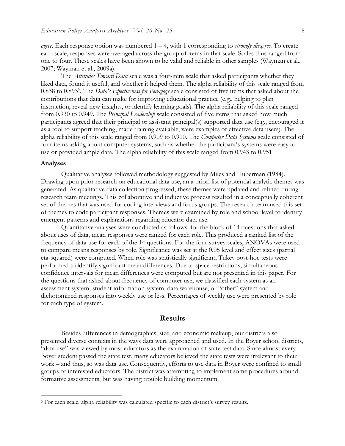*agree*. Each response option was numbered 1 – 4, with 1 corresponding to *strongly disagree*. To create each scale, responses were averaged across the group of items in that scale. Scales thus ranged from one to four. These scales have been shown to be valid and reliable in other samples (Wayman et al., 2007; Wayman et al., 2009a).

The *Attitudes Toward Data* scale was a four-item scale that asked participants whether they liked data, found it useful, and whether it helped them. The alpha reliability of this scale ranged from 0.838 to 0.893<sup>6</sup>. The *Data's Effectiveness for Pedagogy* scale consisted of five items that asked about the contributions that data can make for improving educational practice (e.g., helping to plan instruction, reveal new insights, or identify learning goals). The alpha reliability of this scale ranged from 0.930 to 0.949. The *Principal Leadership* scale consisted of five items that asked how much participants agreed that their principal or assistant principal(s) supported data use (e.g., encouraged it as a tool to support teaching, made training available, were examples of effective data users). The alpha reliability of this scale ranged from 0.909 to 0.910. The *Computer Data Systems* scale consisted of four items asking about computer systems, such as whether the participant's systems were easy to use or provided ample data. The alpha reliability of this scale ranged from 0.943 to 0.951

#### **Analyses**

Qualitative analyses followed methodology suggested by Miles and Huberman (1984). Drawing upon prior research on educational data use, an a priori list of potential analytic themes was generated. As qualitative data collection progressed, these themes were updated and refined during research team meetings. This collaborative and inductive process resulted in a conceptually coherent set of themes that was used for coding interviews and focus groups. The research team used this set of themes to code participant responses. Themes were examined by role and school level to identify emergent patterns and explanations regarding educator data use.

Quantitative analyses were conducted as follows: for the block of 14 questions that asked about uses of data, mean responses were ranked for each role. This produced a ranked list of the frequency of data use for each of the 14 questions. For the four survey scales, ANOVAs were used to compare means responses by role. Significance was set at the 0.05 level and effect sizes (partial eta-squared) were computed. When role was statistically significant, Tukey post-hoc tests were performed to identify significant mean differences. Due to space restrictions, simultaneous confidence intervals for mean differences were computed but are not presented in this paper. For the questions that asked about frequency of computer use, we classified each system as an assessment system, student information system, data warehouse, or "other" system and dichotomized responses into weekly use or less. Percentages of weekly use were presented by role for each type of system.

# **Results**

Besides differences in demographics, size, and economic makeup, our districts also presented diverse contexts in the ways data were approached and used. In the Boyer school districts, "data use" was viewed by most educators as the examination of state test data. Since almost every Boyer student passed the state test, many educators believed the state tests were irrelevant to their work – and thus, so was data use. Consequently, efforts to use data in Boyer were confined to small groups of interested educators. The district was attempting to implement some procedures around formative assessments, but was having trouble building momentum.

 <sup>6</sup> For each scale, alpha reliability was calculated specific to each district's survey results.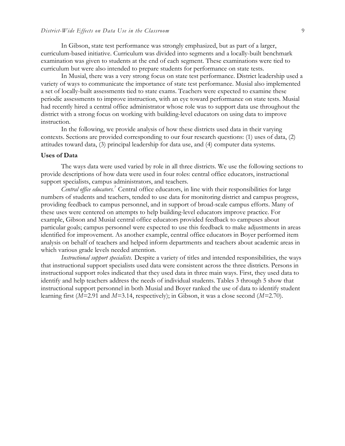In Gibson, state test performance was strongly emphasized, but as part of a larger, curriculum-based initiative. Curriculum was divided into segments and a locally-built benchmark examination was given to students at the end of each segment. These examinations were tied to curriculum but were also intended to prepare students for performance on state tests.

In Musial, there was a very strong focus on state test performance. District leadership used a variety of ways to communicate the importance of state test performance. Musial also implemented a set of locally-built assessments tied to state exams. Teachers were expected to examine these periodic assessments to improve instruction, with an eye toward performance on state tests. Musial had recently hired a central office administrator whose role was to support data use throughout the district with a strong focus on working with building-level educators on using data to improve instruction.

In the following, we provide analysis of how these districts used data in their varying contexts. Sections are provided corresponding to our four research questions: (1) uses of data, (2) attitudes toward data, (3) principal leadership for data use, and (4) computer data systems.

# **Uses of Data**

The ways data were used varied by role in all three districts. We use the following sections to provide descriptions of how data were used in four roles: central office educators, instructional support specialists, campus administrators, and teachers.

Central office educators.<sup>7</sup> Central office educators, in line with their responsibilities for large numbers of students and teachers, tended to use data for monitoring district and campus progress, providing feedback to campus personnel, and in support of broad-scale campus efforts. Many of these uses were centered on attempts to help building-level educators improve practice. For example, Gibson and Musial central office educators provided feedback to campuses about particular goals; campus personnel were expected to use this feedback to make adjustments in areas identified for improvement. As another example, central office educators in Boyer performed item analysis on behalf of teachers and helped inform departments and teachers about academic areas in which various grade levels needed attention.

*Instructional support specialists.* Despite a variety of titles and intended responsibilities, the ways that instructional support specialists used data were consistent across the three districts. Persons in instructional support roles indicated that they used data in three main ways. First, they used data to identify and help teachers address the needs of individual students. Tables 3 through 5 show that instructional support personnel in both Musial and Boyer ranked the use of data to identify student learning first (*M=*2.91 and *M=*3.14, respectively); in Gibson, it was a close second (*M=*2.70).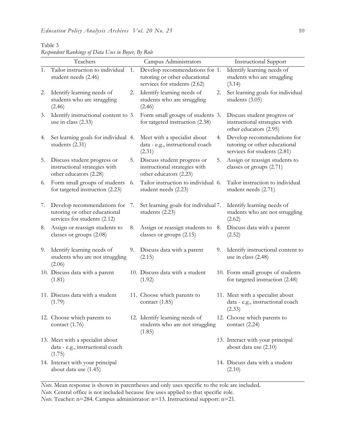|    | Teachers                                                                                     |    | Campus Administrators                                                                           |    | <b>Instructional Support</b>                                                                 |
|----|----------------------------------------------------------------------------------------------|----|-------------------------------------------------------------------------------------------------|----|----------------------------------------------------------------------------------------------|
| 1. | Tailor instruction to individual<br>student needs (2.46)                                     | 1. | Develop recommendations for 1.<br>tutoring or other educational<br>services for students (2.62) |    | Identify learning needs of<br>students who are struggling<br>(3.14)                          |
| 2. | Identify learning needs of<br>students who are struggling<br>(2.46)                          | 2. | Identify learning needs of<br>students who are struggling<br>(2.46)                             | 2. | Set learning goals for individual<br>students (3.05)                                         |
| 3. | Identify instructional content to 3.<br>use in class (2.33)                                  |    | Form small groups of students 3.<br>for targeted instruction (2.38)                             |    | Discuss student progress or<br>instructional strategies with<br>other educators (2.95)       |
| 4. | Set learning goals for individual 4.<br>students $(2.31)$                                    |    | Meet with a specialist about<br>data - e.g., instructional coach<br>(2.31)                      | 4. | Develop recommendations for<br>tutoring or other educational<br>services for students (2.81) |
| 5. | Discuss student progress or<br>instructional strategies with<br>other educators (2.28)       | 5. | Discuss student progress or<br>instructional strategies with<br>other educators (2.23)          | 5. | Assign or reassign students to<br>classes or groups (2.71)                                   |
| 6. | Form small groups of students<br>for targeted instruction (2.23)                             | 6. | Tailor instruction to individual 6.<br>student needs (2.23)                                     |    | Tailor instruction to individual<br>student needs (2.71)                                     |
| 7. | Develop recommendations for<br>tutoring or other educational<br>services for students (2.12) | 7. | Set learning goals for individual 7.<br>students (2.23)                                         |    | Identify learning needs of<br>students who are not struggling<br>(2.62)                      |
| 8. | Assign or reassign students to<br>classes or groups (2.08)                                   | 8. | Assign or reassign students to 8.<br>classes or groups (2.15)                                   |    | Discuss data with a parent<br>(2.52)                                                         |
| 9. | Identify learning needs of<br>students who are not struggling<br>(2.06)                      | 9. | Discuss data with a parent<br>(2.15)                                                            | 9. | Identify instructional content to<br>use in class (2.48)                                     |
|    | 10. Discuss data with a parent<br>(1.81)                                                     |    | 10. Discuss data with a student<br>(1.92)                                                       |    | 10. Form small groups of students<br>for targeted instruction (2.48)                         |
|    | 11. Discuss data with a student<br>(1.79)                                                    |    | 11. Choose which parents to<br>contact $(1.85)$                                                 |    | 11. Meet with a specialist about<br>data - e.g., instructional coach<br>(2.33)               |
|    | 12. Choose which parents to<br>contact $(1.76)$                                              |    | 12. Identify learning needs of<br>students who are not struggling<br>(1.85)                     |    | 12. Choose which parents to<br>contact $(2.24)$                                              |
|    | 13. Meet with a specialist about<br>data - e.g., instructional coach<br>(1.75)               |    |                                                                                                 |    | 13. Interact with your principal<br>about data use (2.10)                                    |
|    | 14. Interact with your principal<br>about data use (1.45)                                    |    |                                                                                                 |    | 14. Discuss data with a student<br>(2.10)                                                    |

Table 3 *Respondent Rankings of Data Uses in Boyer, By Role*

*Note*. Mean response is shown in parentheses and only uses specific to the role are included. *Note.* Central office is not included because few uses applied to that specific role.

*Note.* Teacher: n=284. Campus administrator: n=13. Instructional support: n=21*.*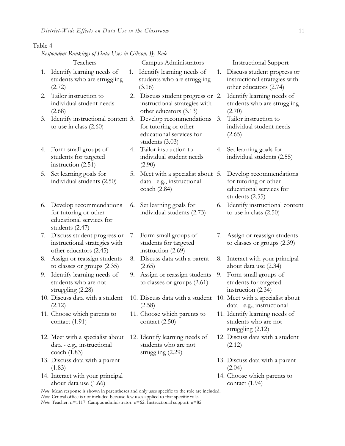# Table 4

*Respondent Rankings of Data Uses in Gibson, By Role*

| Identify learning needs of<br>Identify learning needs of<br>Discuss student progress or<br>1.<br>1.<br>1.<br>instructional strategies with<br>students who are struggling<br>students who are struggling<br>other educators (2.74)<br>(3.16)<br>(2.72)<br>Tailor instruction to<br>Identify learning needs of<br>2.<br>2.<br>Discuss student progress or 2.<br>individual student needs<br>instructional strategies with<br>students who are struggling<br>other educators (3.13)<br>(2.68)<br>(2.70)<br>Tailor instruction to<br>Identify instructional content 3.<br>Develop recommendations<br>3.<br>3.<br>individual student needs<br>to use in class $(2.60)$<br>for tutoring or other<br>educational services for<br>(2.65)<br>students (3.03)<br>Tailor instruction to<br>Form small groups of<br>Set learning goals for<br>4.<br>4.<br>4.<br>students for targeted<br>individual student needs<br>individual students (2.55)<br>instruction (2.51)<br>(2.90)<br>Set learning goals for<br>Meet with a specialist about 5.<br>Develop recommendations<br>5.<br>5.<br>individual students (2.50)<br>data - e.g., instructional<br>for tutoring or other<br>educational services for<br>coach (2.84)<br>students (2.55)<br>Set learning goals for<br>Develop recommendations<br>6.<br>6.<br>6.<br>for tutoring or other<br>individual students (2.73)<br>to use in class $(2.50)$<br>educational services for<br>students (2.47)<br>Discuss student progress or<br>Assign or reassign students<br>Form small groups of<br>7.<br>7.<br>7.<br>instructional strategies with<br>students for targeted<br>to classes or groups (2.39)<br>other educators (2.45)<br>instruction (2.69)<br>Assign or reassign students<br>Discuss data with a parent<br>Interact with your principal<br>8.<br>8.<br>8.<br>to classes or groups (2.35)<br>about data use (2.34)<br>(2.65)<br>Identify learning needs of<br>Assign or reassign students<br>Form small groups of<br>9.<br>9.<br>9.<br>students who are not<br>to classes or groups (2.61)<br>students for targeted<br>instruction (2.34)<br>struggling $(2.28)$<br>10. Discuss data with a student<br>10. Meet with a specialist about<br>10. Discuss data with a student<br>(2.12)<br>(2.58)<br>data - e.g., instructional<br>11. Choose which parents to<br>11. Choose which parents to<br>11. Identify learning needs of<br>students who are not<br>contact $(1.91)$<br>contact $(2.50)$<br>struggling $(2.12)$<br>12. Discuss data with a student<br>12. Meet with a specialist about<br>12. Identify learning needs of<br>students who are not<br>data - e.g., instructional<br>(2.12)<br>struggling (2.29)<br>coach $(1.83)$<br>13. Discuss data with a parent<br>13. Discuss data with a parent | Teachers | Campus Administrators | <b>Instructional Support</b>   |
|----------------------------------------------------------------------------------------------------------------------------------------------------------------------------------------------------------------------------------------------------------------------------------------------------------------------------------------------------------------------------------------------------------------------------------------------------------------------------------------------------------------------------------------------------------------------------------------------------------------------------------------------------------------------------------------------------------------------------------------------------------------------------------------------------------------------------------------------------------------------------------------------------------------------------------------------------------------------------------------------------------------------------------------------------------------------------------------------------------------------------------------------------------------------------------------------------------------------------------------------------------------------------------------------------------------------------------------------------------------------------------------------------------------------------------------------------------------------------------------------------------------------------------------------------------------------------------------------------------------------------------------------------------------------------------------------------------------------------------------------------------------------------------------------------------------------------------------------------------------------------------------------------------------------------------------------------------------------------------------------------------------------------------------------------------------------------------------------------------------------------------------------------------------------------------------------------------------------------------------------------------------------------------------------------------------------------------------------------------------------------------------------------------------------------------------------------------------------------------------------------------------------------------------------------------------------------------------------------------------------------------------------------------------------------------------------------------------------------------------------------|----------|-----------------------|--------------------------------|
|                                                                                                                                                                                                                                                                                                                                                                                                                                                                                                                                                                                                                                                                                                                                                                                                                                                                                                                                                                                                                                                                                                                                                                                                                                                                                                                                                                                                                                                                                                                                                                                                                                                                                                                                                                                                                                                                                                                                                                                                                                                                                                                                                                                                                                                                                                                                                                                                                                                                                                                                                                                                                                                                                                                                                    |          |                       |                                |
|                                                                                                                                                                                                                                                                                                                                                                                                                                                                                                                                                                                                                                                                                                                                                                                                                                                                                                                                                                                                                                                                                                                                                                                                                                                                                                                                                                                                                                                                                                                                                                                                                                                                                                                                                                                                                                                                                                                                                                                                                                                                                                                                                                                                                                                                                                                                                                                                                                                                                                                                                                                                                                                                                                                                                    |          |                       |                                |
|                                                                                                                                                                                                                                                                                                                                                                                                                                                                                                                                                                                                                                                                                                                                                                                                                                                                                                                                                                                                                                                                                                                                                                                                                                                                                                                                                                                                                                                                                                                                                                                                                                                                                                                                                                                                                                                                                                                                                                                                                                                                                                                                                                                                                                                                                                                                                                                                                                                                                                                                                                                                                                                                                                                                                    |          |                       |                                |
|                                                                                                                                                                                                                                                                                                                                                                                                                                                                                                                                                                                                                                                                                                                                                                                                                                                                                                                                                                                                                                                                                                                                                                                                                                                                                                                                                                                                                                                                                                                                                                                                                                                                                                                                                                                                                                                                                                                                                                                                                                                                                                                                                                                                                                                                                                                                                                                                                                                                                                                                                                                                                                                                                                                                                    |          |                       |                                |
|                                                                                                                                                                                                                                                                                                                                                                                                                                                                                                                                                                                                                                                                                                                                                                                                                                                                                                                                                                                                                                                                                                                                                                                                                                                                                                                                                                                                                                                                                                                                                                                                                                                                                                                                                                                                                                                                                                                                                                                                                                                                                                                                                                                                                                                                                                                                                                                                                                                                                                                                                                                                                                                                                                                                                    |          |                       |                                |
|                                                                                                                                                                                                                                                                                                                                                                                                                                                                                                                                                                                                                                                                                                                                                                                                                                                                                                                                                                                                                                                                                                                                                                                                                                                                                                                                                                                                                                                                                                                                                                                                                                                                                                                                                                                                                                                                                                                                                                                                                                                                                                                                                                                                                                                                                                                                                                                                                                                                                                                                                                                                                                                                                                                                                    |          |                       | Identify instructional content |
|                                                                                                                                                                                                                                                                                                                                                                                                                                                                                                                                                                                                                                                                                                                                                                                                                                                                                                                                                                                                                                                                                                                                                                                                                                                                                                                                                                                                                                                                                                                                                                                                                                                                                                                                                                                                                                                                                                                                                                                                                                                                                                                                                                                                                                                                                                                                                                                                                                                                                                                                                                                                                                                                                                                                                    |          |                       |                                |
|                                                                                                                                                                                                                                                                                                                                                                                                                                                                                                                                                                                                                                                                                                                                                                                                                                                                                                                                                                                                                                                                                                                                                                                                                                                                                                                                                                                                                                                                                                                                                                                                                                                                                                                                                                                                                                                                                                                                                                                                                                                                                                                                                                                                                                                                                                                                                                                                                                                                                                                                                                                                                                                                                                                                                    |          |                       |                                |
|                                                                                                                                                                                                                                                                                                                                                                                                                                                                                                                                                                                                                                                                                                                                                                                                                                                                                                                                                                                                                                                                                                                                                                                                                                                                                                                                                                                                                                                                                                                                                                                                                                                                                                                                                                                                                                                                                                                                                                                                                                                                                                                                                                                                                                                                                                                                                                                                                                                                                                                                                                                                                                                                                                                                                    |          |                       |                                |
|                                                                                                                                                                                                                                                                                                                                                                                                                                                                                                                                                                                                                                                                                                                                                                                                                                                                                                                                                                                                                                                                                                                                                                                                                                                                                                                                                                                                                                                                                                                                                                                                                                                                                                                                                                                                                                                                                                                                                                                                                                                                                                                                                                                                                                                                                                                                                                                                                                                                                                                                                                                                                                                                                                                                                    |          |                       |                                |
|                                                                                                                                                                                                                                                                                                                                                                                                                                                                                                                                                                                                                                                                                                                                                                                                                                                                                                                                                                                                                                                                                                                                                                                                                                                                                                                                                                                                                                                                                                                                                                                                                                                                                                                                                                                                                                                                                                                                                                                                                                                                                                                                                                                                                                                                                                                                                                                                                                                                                                                                                                                                                                                                                                                                                    |          |                       |                                |
|                                                                                                                                                                                                                                                                                                                                                                                                                                                                                                                                                                                                                                                                                                                                                                                                                                                                                                                                                                                                                                                                                                                                                                                                                                                                                                                                                                                                                                                                                                                                                                                                                                                                                                                                                                                                                                                                                                                                                                                                                                                                                                                                                                                                                                                                                                                                                                                                                                                                                                                                                                                                                                                                                                                                                    |          |                       |                                |
|                                                                                                                                                                                                                                                                                                                                                                                                                                                                                                                                                                                                                                                                                                                                                                                                                                                                                                                                                                                                                                                                                                                                                                                                                                                                                                                                                                                                                                                                                                                                                                                                                                                                                                                                                                                                                                                                                                                                                                                                                                                                                                                                                                                                                                                                                                                                                                                                                                                                                                                                                                                                                                                                                                                                                    | (1.83)   |                       | (2.04)                         |
| 14. Interact with your principal<br>14. Choose which parents to<br>about data use (1.66)<br>contact $(1.94)$<br>Note. Mean response is shown in parentheses and only uses specific to the role are included.                                                                                                                                                                                                                                                                                                                                                                                                                                                                                                                                                                                                                                                                                                                                                                                                                                                                                                                                                                                                                                                                                                                                                                                                                                                                                                                                                                                                                                                                                                                                                                                                                                                                                                                                                                                                                                                                                                                                                                                                                                                                                                                                                                                                                                                                                                                                                                                                                                                                                                                                       |          |                       |                                |

*Note*. Mean response is shown in parentheses and only uses specific to the role are included.

*Note.* Central office is not included because few uses applied to that specific role.

*Note.* Teacher: n=1117. Campus administrator: n=62. Instructional support: n=82*.*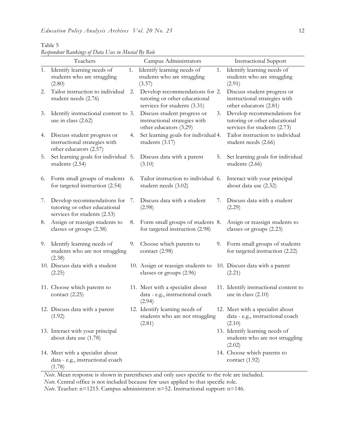|    | Teachers                                                                                     |    | Campus Administrators                                                                           |    | <b>Instructional Support</b>                                                                 |
|----|----------------------------------------------------------------------------------------------|----|-------------------------------------------------------------------------------------------------|----|----------------------------------------------------------------------------------------------|
| 1. | Identify learning needs of<br>students who are struggling<br>(2.80)                          | 1. | Identify learning needs of<br>students who are struggling<br>(3.37)                             | 1. | Identify learning needs of<br>students who are struggling<br>(2.91)                          |
| 2. | Tailor instruction to individual<br>student needs (2.76)                                     | 2. | Develop recommendations for 2.<br>tutoring or other educational<br>services for students (3.31) |    | Discuss student progress or<br>instructional strategies with<br>other educators (2.81)       |
| 3. | Identify instructional content to 3.<br>use in class $(2.62)$                                |    | Discuss student progress or<br>instructional strategies with<br>other educators (3.29)          | 3. | Develop recommendations for<br>tutoring or other educational<br>services for students (2.73) |
| 4. | Discuss student progress or<br>instructional strategies with<br>other educators (2.57)       | 4. | Set learning goals for individual 4.<br>students (3.17)                                         |    | Tailor instruction to individual<br>student needs (2.66)                                     |
| 5. | Set learning goals for individual 5.<br>students (2.54)                                      |    | Discuss data with a parent<br>(3.10)                                                            | 5. | Set learning goals for individual<br>students (2.66)                                         |
| 6. | Form small groups of students<br>for targeted instruction (2.54)                             | 6. | Tailor instruction to individual 6.<br>student needs (3.02)                                     |    | Interact with your principal<br>about data use (2.32)                                        |
| 7. | Develop recommendations for<br>tutoring or other educational<br>services for students (2.53) | 7. | Discuss data with a student<br>(2.98)                                                           | 7. | Discuss data with a student<br>(2.29)                                                        |
| 8. | Assign or reassign students to<br>classes or groups (2.38)                                   | 8. | Form small groups of students 8.<br>for targeted instruction (2.98)                             |    | Assign or reassign students to<br>classes or groups (2.23)                                   |
| 9. | Identify learning needs of<br>students who are not struggling<br>(2.38)                      | 9. | Choose which parents to<br>contact (2.98)                                                       | 9. | Form small groups of students<br>for targeted instruction (2.22)                             |
|    | 10. Discuss data with a student<br>(2.25)                                                    |    | 10. Assign or reassign students to<br>classes or groups (2.96)                                  |    | 10. Discuss data with a parent<br>(2.21)                                                     |
|    | 11. Choose which parents to<br>contact $(2.25)$                                              |    | 11. Meet with a specialist about<br>data - e.g., instructional coach<br>(2.94)                  |    | 11. Identify instructional content to<br>use in class $(2.10)$                               |
|    | 12. Discuss data with a parent<br>(1.92)                                                     |    | 12. Identify learning needs of<br>students who are not struggling<br>(2.81)                     |    | 12. Meet with a specialist about<br>data - e.g., instructional coach<br>(2.10)               |
|    | 13. Interact with your principal<br>about data use (1.78)                                    |    |                                                                                                 |    | 13. Identify learning needs of<br>students who are not struggling<br>(2.02)                  |
|    | 14. Meet with a specialist about<br>data - e.g., instructional coach<br>(1.78)               |    |                                                                                                 |    | 14. Choose which parents to<br>contact (1.92)                                                |

Table 5 *Respondent Rankings of Data Uses in Musial By Role*

*Note*. Mean response is shown in parentheses and only uses specific to the role are included.

*Note.* Central office is not included because few uses applied to that specific role.

*Note*. Teacher: n=1215. Campus administrator: n=52. Instructional support: n=146*.*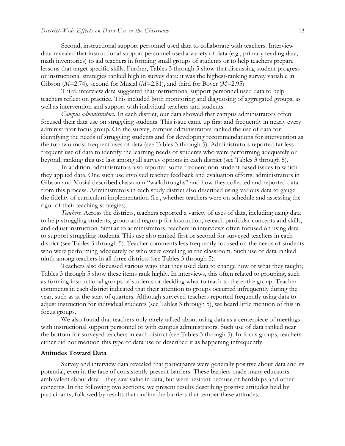Second, instructional support personnel used data to collaborate with teachers. Interview data revealed that instructional support personnel used a variety of data (e.g., primary reading data, math inventories) to aid teachers in forming small groups of students or to help teachers prepare lessons that target specific skills. Further, Tables 3 through 5 show that discussing student progress or instructional strategies ranked high in survey data: it was the highest-ranking survey variable in Gibson (*M=*2.74), second for Musial (*M=*2.81), and third for Boyer (*M=*2.95).

Third, interview data suggested that instructional support personnel used data to help teachers reflect on practice. This included both monitoring and diagnosing of aggregated groups, as well as intervention and support with individual teachers and students.

*Campus administrators.* In each district, our data showed that campus administrators often focused their data use on struggling students. This issue came up first and frequently in nearly every administrator focus group. On the survey, campus administrators ranked the use of data for identifying the needs of struggling students and for developing recommendations for intervention as the top two most frequent uses of data (see Tables 3 through 5). Administrators reported far less frequent use of data to identify the learning needs of students who were performing adequately or beyond, ranking this use last among all survey options in each district (see Tables 3 through 5).

In addition, administrators also reported some frequent non-student based issues to which they applied data. One such use involved teacher feedback and evaluation efforts: administrators in Gibson and Musial described classroom "walkthroughs" and how they collected and reported data from this process. Administrators in each study district also described using various data to gauge the fidelity of curriculum implementation (i.e., whether teachers were on schedule and assessing the rigor of their teaching strategies).

*Teachers.* Across the districts, teachers reported a variety of uses of data, including using data to help struggling students, group and regroup for instruction, reteach particular concepts and skills, and adjust instruction. Similar to administrators, teachers in interviews often focused on using data to support struggling students. This use also ranked first or second for surveyed teachers in each district (see Tables 3 through 5). Teacher comments less frequently focused on the needs of students who were performing adequately or who were excelling in the classroom. Such use of data ranked ninth among teachers in all three districts (see Tables 3 through 5).

Teachers also discussed various ways that they used data to change how or what they taught; Tables 3 through 5 show these items rank highly. In interviews, this often related to grouping, such as forming instructional groups of students or deciding what to teach to the entire group. Teacher comments in each district indicated that their attention to groups occurred infrequently during the year, such as at the start of quarters. Although surveyed teachers reported frequently using data to adjust instruction for individual students (see Tables 3 through 5), we heard little mention of this in focus groups.

We also found that teachers only rarely talked about using data as a centerpiece of meetings with instructional support personnel or with campus administrators. Such use of data ranked near the bottom for surveyed teachers in each district (see Tables 3 through 5). In focus groups, teachers either did not mention this type of data use or described it as happening infrequently.

# **Attitudes Toward Data**

Survey and interview data revealed that participants were generally positive about data and its potential, even in the face of consistently present barriers. These barriers made many educators ambivalent about data – they saw value in data, but were hesitant because of hardships and other concerns. In the following two sections, we present results describing positive attitudes held by participants, followed by results that outline the barriers that temper these attitudes.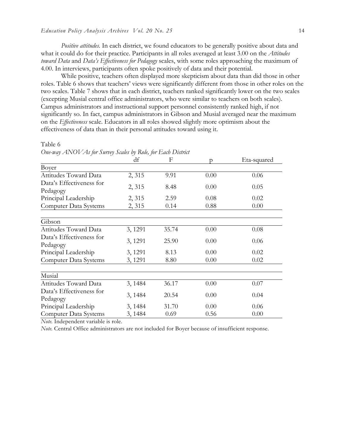*Positive attitudes.* In each district, we found educators to be generally positive about data and what it could do for their practice. Participants in all roles averaged at least 3.00 on the *Attitudes toward Data* and *Data's Effectiveness for Pedagogy* scales, with some roles approaching the maximum of 4.00. In interviews, participants often spoke positively of data and their potential.

While positive, teachers often displayed more skepticism about data than did those in other roles. Table 6 shows that teachers' views were significantly different from those in other roles on the two scales. Table 7 shows that in each district, teachers ranked significantly lower on the two scales (excepting Musial central office administrators, who were similar to teachers on both scales). Campus administrators and instructional support personnel consistently ranked high, if not significantly so. In fact, campus administrators in Gibson and Musial averaged near the maximum on the *Effectiveness* scale. Educators in all roles showed slightly more optimism about the effectiveness of data than in their personal attitudes toward using it.

Table 6

*One-way ANOVAs for Survey Scales by Role, for Each District*

|                          | df      | $\mathbf{F}$ |      | Eta-squared |
|--------------------------|---------|--------------|------|-------------|
| Boyer                    |         |              |      |             |
| Attitudes Toward Data    | 2,315   | 9.91         | 0.00 | 0.06        |
| Data's Effectiveness for |         |              |      |             |
| Pedagogy                 | 2, 315  | 8.48         | 0.00 | 0.05        |
| Principal Leadership     | 2, 315  | 2.59         | 0.08 | 0.02        |
| Computer Data Systems    | 2, 315  | 0.14         | 0.88 | 0.00        |
|                          |         |              |      |             |
| Gibson                   |         |              |      |             |
| Attitudes Toward Data    | 3, 1291 | 35.74        | 0.00 | 0.08        |
| Data's Effectiveness for |         |              |      |             |
| Pedagogy                 | 3, 1291 | 25.90        | 0.00 | 0.06        |
| Principal Leadership     | 3, 1291 | 8.13         | 0.00 | 0.02        |
| Computer Data Systems    | 3, 1291 | 8.80         | 0.00 | 0.02        |
|                          |         |              |      |             |
| Musial                   |         |              |      |             |
| Attitudes Toward Data    | 3, 1484 | 36.17        | 0.00 | 0.07        |
| Data's Effectiveness for |         |              |      |             |
| Pedagogy                 | 3, 1484 | 20.54        | 0.00 | 0.04        |
| Principal Leadership     | 3, 1484 | 31.70        | 0.00 | 0.06        |
| Computer Data Systems    | 3, 1484 | 0.69         | 0.56 | 0.00        |

*Note.* Independent variable is role.

*Note.* Central Office administrators are not included for Boyer because of insufficient response.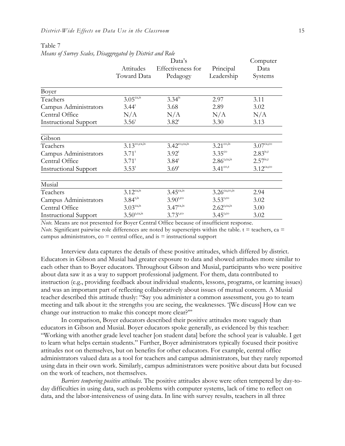Table 7

|                              |                               | Computer                     |                               |                       |
|------------------------------|-------------------------------|------------------------------|-------------------------------|-----------------------|
|                              | Attitudes                     | Effectiveness for            | Principal                     | Data                  |
|                              | Toward Data                   | Pedagogy                     | Leadership                    | Systems               |
| Boyer                        |                               |                              |                               |                       |
| Teachers                     | $3.05^{\overline{ca, is}}$    | $3.34^{\text{is}}$           | 2.97                          | 3.11                  |
| Campus Administrators        | $3.44^t$                      | 3.68                         | 2.89                          | 3.02                  |
| Central Office               | N/A                           | N/A                          | N/A                           | N/A                   |
| <b>Instructional Support</b> | 3.56 <sup>t</sup>             | $3.82^t$                     | 3.30                          | 3.13                  |
| Gibson                       |                               |                              |                               |                       |
| Teachers                     | $3.13^{\text{co,ca,is}}$      | $3.42^{\text{co,ca,is}}$     | $3.21^{\text{co}, \text{is}}$ | $3.07^{\text{ca,co}}$ |
| Campus Administrators        | $3.71^t$                      | $3.92^t$                     | $3.35^{\circ\circ}$           | $2.83^{i s,t}$        |
| Central Office               | $3.71^{\rm t}$                | $3.84^t$                     | $2.86^{\text{t,ca,is}}$       | $2.57^{is,t}$         |
| <b>Instructional Support</b> | $3.53^t$                      | $3.69^t$                     | $3.41^{\text{co,t}}$          | $3.12^{\text{ca,co}}$ |
| Musial                       |                               |                              |                               |                       |
| Teachers                     | $3.12^{ca, is}$               | $3.45^{\text{ca},\text{is}}$ | $3.26^{\text{ca,co,is}}$      | 2.94                  |
| Campus Administrators        | $3.84^{t, is}$                | $3.90^{t, co}$               | $3.53^{t, co}$                | 3.02                  |
| Central Office               | $3.03^{\text{ca}, \text{is}}$ | $3.47^{ca, is}$              | $2.62^{\text{t,ca,is}}$       | 3.00                  |
| <b>Instructional Support</b> | $3.50^{t, ca, is}$            | $3.73^{t, co}$               | $3.45^{{\rm t,co}}$           | 3.02                  |

*Note.* Means are not presented for Boyer Central Office because of insufficient response. *Note.* Significant pairwise role differences are noted by superscripts within the table.  $t =$  teachers, ca  $=$ 

campus administrators,  $\cos$  = central office, and  $\sin$  = instructional support

Interview data captures the details of these positive attitudes, which differed by district. Educators in Gibson and Musial had greater exposure to data and showed attitudes more similar to each other than to Boyer educators. Throughout Gibson and Musial, participants who were positive about data saw it as a way to support professional judgment. For them, data contributed to instruction (e.g., providing feedback about individual students, lessons, programs, or learning issues) and was an important part of reflecting collaboratively about issues of mutual concern. A Musial teacher described this attitude thusly: "Say you administer a common assessment, you go to team meeting and talk about it: the strengths you are seeing, the weaknesses. '[We discuss] How can we change our instruction to make this concept more clear?'"

In comparison, Boyer educators described their positive attitudes more vaguely than educators in Gibson and Musial. Boyer educators spoke generally, as evidenced by this teacher: "Working with another grade level teacher [on student data] before the school year is valuable. I get to learn what helps certain students." Further, Boyer administrators typically focused their positive attitudes not on themselves, but on benefits for other educators. For example, central office administrators valued data as a tool for teachers and campus administrators, but they rarely reported using data in their own work. Similarly, campus administrators were positive about data but focused on the work of teachers, not themselves.

*Barriers tempering positive attitudes.* The positive attitudes above were often tempered by day-today difficulties in using data, such as problems with computer systems, lack of time to reflect on data, and the labor-intensiveness of using data. In line with survey results, teachers in all three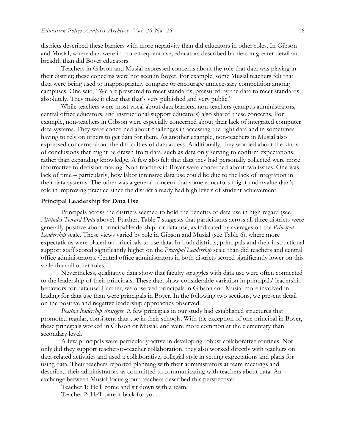districts described these barriers with more negativity than did educators in other roles. In Gibson and Musial, where data were in more frequent use, educators described barriers in greater detail and breadth than did Boyer educators.

Teachers in Gibson and Musial expressed concerns about the role that data was playing in their district; these concerns were not seen in Boyer. For example, some Musial teachers felt that data were being used to inappropriately compare or encourage unnecessary competition among campuses. One said, "We are pressured to meet standards, pressured by the data to meet standards, absolutely. They make it clear that that's very published and very public."

While teachers were most vocal about data barriers, non-teachers (campus administrators, central office educators, and instructional support educators) also shared these concerns. For example, non-teachers in Gibson were especially concerned about their lack of integrated computer data systems. They were concerned about challenges in accessing the right data and in sometimes having to rely on others to get data for them. As another example, non-teachers in Musial also expressed concerns about the difficulties of data access. Additionally, they worried about the kinds of conclusions that might be drawn from data, such as data only serving to confirm expectations, rather than expanding knowledge. A few also felt that data they had personally collected were more informative to decision making. Non-teachers in Boyer were concerned about two issues. One was lack of time – particularly, how labor intensive data use could be due to the lack of integration in their data systems. The other was a general concern that some educators might undervalue data's role in improving practice since the district already had high levels of student achievement.

# **Principal Leadership for Data Use**

Principals across the districts seemed to hold the benefits of data use in high regard (see *Attitudes Toward Data* above). Further, Table 7 suggests that participants across all three districts were generally positive about principal leadership for data use, as indicated by averages on the *Principal Leadership* scale. These views varied by role in Gibson and Musial (see Table 6), where more expectations were placed on principals to use data. In both districts, principals and their instructional support staff scored significantly higher on the *Principal Leadership* scale than did teachers and central office administrators. Central office administrators in both districts scored significantly lower on this scale than all other roles.

Nevertheless, qualitative data show that faculty struggles with data use were often connected to the leadership of their principals. These data show considerable variation in principals' leadership behaviors for data use. Further, we observed principals in Gibson and Musial more involved in leading for data use than were principals in Boyer. In the following two sections, we present detail on the positive and negative leadership approaches observed.

*Positive leadership strategies.* A few principals in our study had established structures that promoted regular, consistent data use in their schools. With the exception of one principal in Boyer, these principals worked in Gibson or Musial, and were more common at the elementary than secondary level.

A few principals were particularly active in developing robust collaborative routines. Not only did they support teacher-to-teacher collaboration, they also worked directly with teachers on data-related activities and used a collaborative, collegial style in setting expectations and plans for using data. Their teachers reported planning with their administrators at team meetings and described their administrators as committed to communicating with teachers about data. An exchange between Musial focus group teachers described this perspective:

Teacher 1: He'll come and sit down with a team.

Teacher 2: He'll pare it back for you.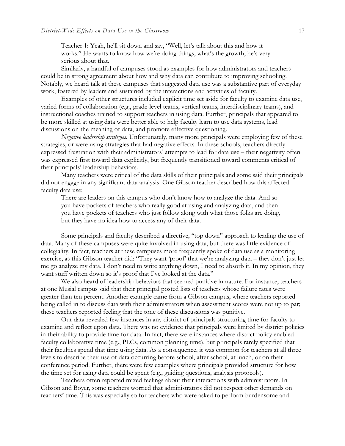Teacher 1: Yeah, he'll sit down and say, "Well, let's talk about this and how it works." He wants to know how we're doing things, what's the growth, he's very serious about that.

Similarly, a handful of campuses stood as examples for how administrators and teachers could be in strong agreement about how and why data can contribute to improving schooling. Notably, we heard talk at these campuses that suggested data use was a substantive part of everyday work, fostered by leaders and sustained by the interactions and activities of faculty.

Examples of other structures included explicit time set aside for faculty to examine data use, varied forms of collaboration (e.g., grade-level teams, vertical teams, interdisciplinary teams), and instructional coaches trained to support teachers in using data. Further, principals that appeared to be more skilled at using data were better able to help faculty learn to use data systems, lead discussions on the meaning of data, and promote effective questioning.

*Negative leadership strategies.* Unfortunately, many more principals were employing few of these strategies, or were using strategies that had negative effects. In these schools, teachers directly expressed frustration with their administrators' attempts to lead for data use – their negativity often was expressed first toward data explicitly, but frequently transitioned toward comments critical of their principals' leadership behaviors.

Many teachers were critical of the data skills of their principals and some said their principals did not engage in any significant data analysis. One Gibson teacher described how this affected faculty data use:

There are leaders on this campus who don't know how to analyze the data. And so you have pockets of teachers who really good at using and analyzing data, and then you have pockets of teachers who just follow along with what those folks are doing, but they have no idea how to access any of their data.

Some principals and faculty described a directive, "top down" approach to leading the use of data. Many of these campuses were quite involved in using data, but there was little evidence of collegiality. In fact, teachers at these campuses more frequently spoke of data use as a monitoring exercise, as this Gibson teacher did: "They want 'proof' that we're analyzing data – they don't just let me go analyze my data. I don't need to write anything down, I need to absorb it. In my opinion, they want stuff written down so it's proof that I've looked at the data."

We also heard of leadership behaviors that seemed punitive in nature. For instance, teachers at one Musial campus said that their principal posted lists of teachers whose failure rates were greater than ten percent. Another example came from a Gibson campus, where teachers reported being called in to discuss data with their administrators when assessment scores were not up to par; these teachers reported feeling that the tone of these discussions was punitive.

Our data revealed few instances in any district of principals structuring time for faculty to examine and reflect upon data. There was no evidence that principals were limited by district policies in their ability to provide time for data. In fact, there were instances where district policy enabled faculty collaborative time (e.g., PLCs, common planning time), but principals rarely specified that their faculties spend that time using data. As a consequence, it was common for teachers at all three levels to describe their use of data occurring before school, after school, at lunch, or on their conference period. Further, there were few examples where principals provided structure for how the time set for using data could be spent (e.g., guiding questions, analysis protocols).

Teachers often reported mixed feelings about their interactions with administrators. In Gibson and Boyer, some teachers worried that administrators did not respect other demands on teachers' time. This was especially so for teachers who were asked to perform burdensome and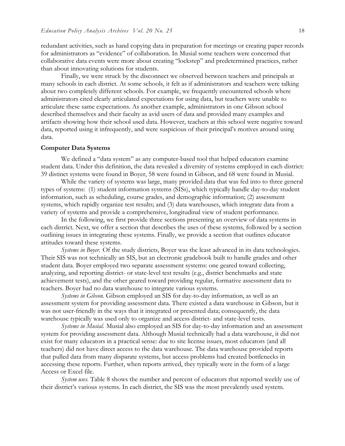redundant activities, such as hand copying data in preparation for meetings or creating paper records for administrators as "evidence" of collaboration. In Musial some teachers were concerned that collaborative data events were more about creating "lockstep" and predetermined practices, rather than about innovating solutions for students.

Finally, we were struck by the disconnect we observed between teachers and principals at many schools in each district. At some schools, it felt as if administrators and teachers were talking about two completely different schools. For example, we frequently encountered schools where administrators cited clearly articulated expectations for using data, but teachers were unable to articulate these same expectations. As another example, administrators in one Gibson school described themselves and their faculty as avid users of data and provided many examples and artifacts showing how their school used data. However, teachers at this school were negative toward data, reported using it infrequently, and were suspicious of their principal's motives around using data.

#### **Computer Data Systems**

We defined a "data system" as any computer-based tool that helped educators examine student data. Under this definition, the data revealed a diversity of systems employed in each district: 39 distinct systems were found in Boyer, 58 were found in Gibson, and 68 were found in Musial.

While the variety of systems was large, many provided data that was fed into to three general types of systems: (1) student information systems (SISs), which typically handle day-to-day student information, such as scheduling, course grades, and demographic information; (2) assessment systems, which rapidly organize test results; and (3) data warehouses, which integrate data from a variety of systems and provide a comprehensive, longitudinal view of student performance.

In the following, we first provide three sections presenting an overview of data systems in each district. Next, we offer a section that describes the uses of these systems, followed by a section outlining issues in integrating these systems. Finally, we provide a section that outlines educator attitudes toward these systems.

*Systems in Boyer.* Of the study districts, Boyer was the least advanced in its data technologies. Their SIS was not technically an SIS, but an electronic gradebook built to handle grades and other student data. Boyer employed two separate assessment systems: one geared toward collecting, analyzing, and reporting district- or state-level test results (e.g., district benchmarks and state achievement tests), and the other geared toward providing regular, formative assessment data to teachers. Boyer had no data warehouse to integrate various systems.

*Systems in Gibson.* Gibson employed an SIS for day-to-day information, as well as an assessment system for providing assessment data. There existed a data warehouse in Gibson, but it was not user-friendly in the ways that it integrated or presented data; consequently, the data warehouse typically was used only to organize and access district- and state-level tests.

*Systems in Musial.* Musial also employed an SIS for day-to-day information and an assessment system for providing assessment data. Although Musial technically had a data warehouse, it did not exist for many educators in a practical sense: due to site license issues, most educators (and all teachers) did not have direct access to the data warehouse. The data warehouse provided reports that pulled data from many disparate systems, but access problems had created bottlenecks in accessing these reports. Further, when reports arrived, they typically were in the form of a large Access or Excel file.

*System uses.* Table 8 shows the number and percent of educators that reported weekly use of their district's various systems. In each district, the SIS was the most prevalently used system.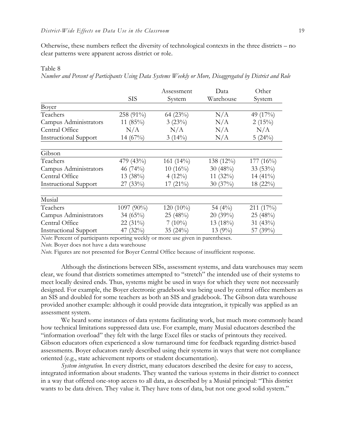Otherwise, these numbers reflect the diversity of technological contexts in the three districts – no clear patterns were apparent across district or role.

# Table 8

*Number and Percent of Participants Using Data Systems Weekly or More, Disaggregated by District and Role*

|                              |             | Assessment   | Data        | Other       |
|------------------------------|-------------|--------------|-------------|-------------|
|                              | <b>SIS</b>  | System       | Warehouse   | System      |
| Boyer                        |             |              |             |             |
| Teachers                     | 258 (91%)   | 64 (23%)     | N/A         | 49 (17%)    |
| Campus Administrators        | 11 $(85\%)$ | 3(23%)       | N/A         | $2(15\%)$   |
| Central Office               | N/A         | N/A          | N/A         | N/A         |
| <b>Instructional Support</b> | $14(67\%)$  | $3(14\%)$    | N/A         | 5(24%)      |
| Gibson                       |             |              |             |             |
| Teachers                     | 479 (43%)   | 161 $(14\%)$ | 138 (12%)   | $177(16\%)$ |
| Campus Administrators        | 46 $(74%)$  | $10(16\%)$   | 30 $(48\%)$ | $33(53\%)$  |
| Central Office               | 13(38%)     | $4(12\%)$    | 11 $(32\%)$ | 14 $(41\%)$ |
| <b>Instructional Support</b> | 27(33%)     | $17(21\%)$   | 30(37%)     | $18(22\%)$  |
| Musial                       |             |              |             |             |
| Teachers                     | 1097 (90%)  | $120(10\%)$  | 54 $(4\%)$  | 211 (17%)   |
| Campus Administrators        | 34 $(65\%)$ | 25 (48%)     | 20(39%)     | 25 (48%)    |
| Central Office               | 22 $(31\%)$ | $7(10\%)$    | 13 $(18\%)$ | 31 $(43\%)$ |
| <b>Instructional Support</b> | 47 $(32\%)$ | 35 $(24%)$   | $13(9\%)$   | 57 (39%)    |

*Note*: Percent of participants reporting weekly or more use given in parentheses.

*Note.* Boyer does not have a data warehouse

*Note.* Figures are not presented for Boyer Central Office because of insufficient response.

Although the distinctions between SISs, assessment systems, and data warehouses may seem clear, we found that districts sometimes attempted to "stretch" the intended use of their systems to meet locally desired ends. Thus, systems might be used in ways for which they were not necessarily designed. For example, the Boyer electronic gradebook was being used by central office members as an SIS and doubled for some teachers as both an SIS and gradebook. The Gibson data warehouse provided another example: although it could provide data integration, it typically was applied as an assessment system.

We heard some instances of data systems facilitating work, but much more commonly heard how technical limitations suppressed data use. For example, many Musial educators described the "information overload" they felt with the large Excel files or stacks of printouts they received. Gibson educators often experienced a slow turnaround time for feedback regarding district-based assessments. Boyer educators rarely described using their systems in ways that were not compliance oriented (e.g., state achievement reports or student documentation).

*System integration.* In every district, many educators described the desire for easy to access, integrated information about students. They wanted the various systems in their district to connect in a way that offered one-stop access to all data, as described by a Musial principal: "This district wants to be data driven. They value it. They have tons of data, but not one good solid system."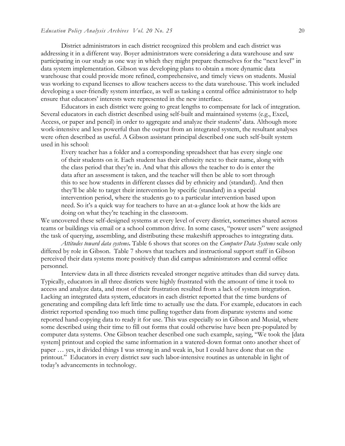District administrators in each district recognized this problem and each district was addressing it in a different way. Boyer administrators were considering a data warehouse and saw participating in our study as one way in which they might prepare themselves for the "next level" in data system implementation. Gibson was developing plans to obtain a more dynamic data warehouse that could provide more refined, comprehensive, and timely views on students. Musial was working to expand licenses to allow teachers access to the data warehouse. This work included developing a user-friendly system interface, as well as tasking a central office administrator to help ensure that educators' interests were represented in the new interface.

Educators in each district were going to great lengths to compensate for lack of integration. Several educators in each district described using self-built and maintained systems (e.g., Excel, Access, or paper and pencil) in order to aggregate and analyze their students' data. Although more work-intensive and less powerful than the output from an integrated system, the resultant analyses were often described as useful. A Gibson assistant principal described one such self-built system used in his school:

Every teacher has a folder and a corresponding spreadsheet that has every single one of their students on it. Each student has their ethnicity next to their name, along with the class period that they're in. And what this allows the teacher to do is enter the data after an assessment is taken, and the teacher will then be able to sort through this to see how students in different classes did by ethnicity and (standard). And then they'll be able to target their intervention by specific (standard) in a special intervention period, where the students go to a particular intervention based upon need. So it's a quick way for teachers to have an at-a-glance look at how the kids are doing on what they're teaching in the classroom.

We uncovered these self-designed systems at every level of every district, sometimes shared across teams or buildings via email or a school common drive. In some cases, "power users" were assigned the task of querying, assembling, and distributing these makeshift approaches to integrating data.

*Attitudes toward data systems***.** Table 6 shows that scores on the *Computer Data Systems* scale only differed by role in Gibson. Table 7 shows that teachers and instructional support staff in Gibson perceived their data systems more positively than did campus administrators and central office personnel.

Interview data in all three districts revealed stronger negative attitudes than did survey data. Typically, educators in all three districts were highly frustrated with the amount of time it took to access and analyze data, and most of their frustration resulted from a lack of system integration. Lacking an integrated data system, educators in each district reported that the time burdens of generating and compiling data left little time to actually use the data. For example, educators in each district reported spending too much time pulling together data from disparate systems and some reported hand-copying data to ready it for use. This was especially so in Gibson and Musial, where some described using their time to fill out forms that could otherwise have been pre-populated by computer data systems. One Gibson teacher described one such example, saying, "We took the [data system] printout and copied the same information in a watered-down format onto another sheet of paper … yes, it divided things I was strong in and weak in, but I could have done that on the printout." Educators in every district saw such labor-intensive routines as untenable in light of today's advancements in technology.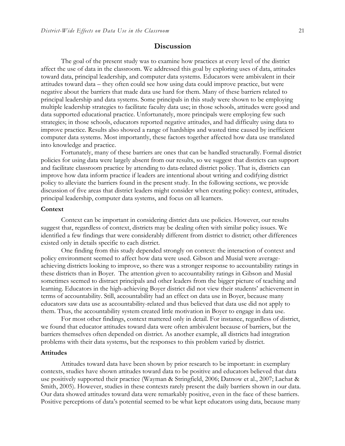# **Discussion**

The goal of the present study was to examine how practices at every level of the district affect the use of data in the classroom. We addressed this goal by exploring uses of data, attitudes toward data, principal leadership, and computer data systems. Educators were ambivalent in their attitudes toward data – they often could see how using data could improve practice, but were negative about the barriers that made data use hard for them. Many of these barriers related to principal leadership and data systems. Some principals in this study were shown to be employing multiple leadership strategies to facilitate faculty data use; in those schools, attitudes were good and data supported educational practice. Unfortunately, more principals were employing few such strategies; in those schools, educators reported negative attitudes, and had difficulty using data to improve practice. Results also showed a range of hardships and wasted time caused by inefficient computer data systems. Most importantly, these factors together affected how data use translated into knowledge and practice.

Fortunately, many of these barriers are ones that can be handled structurally. Formal district policies for using data were largely absent from our results, so we suggest that districts can support and facilitate classroom practice by attending to data-related district policy. That is, districts can improve how data inform practice if leaders are intentional about writing and codifying district policy to alleviate the barriers found in the present study. In the following sections, we provide discussion of five areas that district leaders might consider when creating policy: context, attitudes, principal leadership, computer data systems, and focus on all learners.

## **Context**

Context can be important in considering district data use policies. However, our results suggest that, regardless of context, districts may be dealing often with similar policy issues. We identified a few findings that were considerably different from district to district; other differences existed only in details specific to each district.

One finding from this study depended strongly on context: the interaction of context and policy environment seemed to affect how data were used. Gibson and Musial were averageachieving districts looking to improve, so there was a stronger response to accountability ratings in these districts than in Boyer. The attention given to accountability ratings in Gibson and Musial sometimes seemed to distract principals and other leaders from the bigger picture of teaching and learning. Educators in the high-achieving Boyer district did not view their students' achievement in terms of accountability. Still, accountability had an effect on data use in Boyer, because many educators saw data use as accountability-related and thus believed that data use did not apply to them. Thus, the accountability system created little motivation in Boyer to engage in data use.

For most other findings, context mattered only in detail. For instance, regardless of district, we found that educator attitudes toward data were often ambivalent because of barriers, but the barriers themselves often depended on district. As another example, all districts had integration problems with their data systems, but the responses to this problem varied by district.

#### **Attitudes**

Attitudes toward data have been shown by prior research to be important: in exemplary contexts, studies have shown attitudes toward data to be positive and educators believed that data use positively supported their practice (Wayman & Stringfield, 2006; Datnow et al., 2007; Lachat & Smith, 2005). However, studies in these contexts rarely present the daily barriers shown in our data. Our data showed attitudes toward data were remarkably positive, even in the face of these barriers. Positive perceptions of data's potential seemed to be what kept educators using data, because many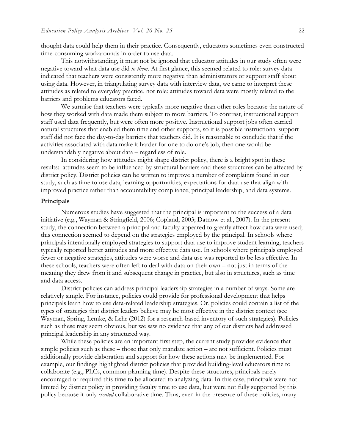thought data could help them in their practice. Consequently, educators sometimes even constructed time-consuming workarounds in order to use data.

This notwithstanding, it must not be ignored that educator attitudes in our study often were negative toward what data use did *to them*. At first glance, this seemed related to role: survey data indicated that teachers were consistently more negative than administrators or support staff about using data. However, in triangulating survey data with interview data, we came to interpret these attitudes as related to everyday practice, not role: attitudes toward data were mostly related to the barriers and problems educators faced.

We surmise that teachers were typically more negative than other roles because the nature of how they worked with data made them subject to more barriers. To contrast, instructional support staff used data frequently, but were often more positive. Instructional support jobs often carried natural structures that enabled them time and other supports, so it is possible instructional support staff did not face the day-to-day barriers that teachers did. It is reasonable to conclude that if the activities associated with data make it harder for one to do one's job, then one would be understandably negative about data – regardless of role.

In considering how attitudes might shape district policy, there is a bright spot in these results: attitudes seem to be influenced by structural barriers and these structures can be affected by district policy. District policies can be written to improve a number of complaints found in our study, such as time to use data, learning opportunities, expectations for data use that align with improved practice rather than accountability compliance, principal leadership, and data systems.

# **Principals**

Numerous studies have suggested that the principal is important to the success of a data initiative (e.g., Wayman & Stringfield, 2006; Copland, 2003; Datnow et al., 2007). In the present study, the connection between a principal and faculty appeared to greatly affect how data were used; this connection seemed to depend on the strategies employed by the principal. In schools where principals intentionally employed strategies to support data use to improve student learning, teachers typically reported better attitudes and more effective data use. In schools where principals employed fewer or negative strategies, attitudes were worse and data use was reported to be less effective. In these schools, teachers were often left to deal with data on their own – not just in terms of the meaning they drew from it and subsequent change in practice, but also in structures, such as time and data access.

District policies can address principal leadership strategies in a number of ways. Some are relatively simple. For instance, policies could provide for professional development that helps principals learn how to use data-related leadership strategies. Or, policies could contain a list of the types of strategies that district leaders believe may be most effective in the district context (see Wayman, Spring, Lemke, & Lehr (2012) for a research-based inventory of such strategies). Policies such as these may seem obvious, but we saw no evidence that any of our districts had addressed principal leadership in any structured way.

While these policies are an important first step, the current study provides evidence that simple policies such as these – those that only mandate action – are not sufficient. Policies must additionally provide elaboration and support for how these actions may be implemented. For example, our findings highlighted district policies that provided building-level educators time to collaborate (e.g., PLCs, common planning time). Despite these structures, principals rarely encouraged or required this time to be allocated to analyzing data. In this case, principals were not limited by district policy in providing faculty time to use data, but were not fully supported by this policy because it only *created* collaborative time. Thus, even in the presence of these policies, many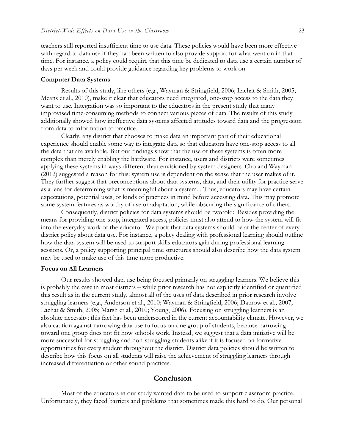teachers still reported insufficient time to use data. These policies would have been more effective with regard to data use if they had been written to also provide support for what went on in that time. For instance, a policy could require that this time be dedicated to data use a certain number of days per week and could provide guidance regarding key problems to work on.

#### **Computer Data Systems**

Results of this study, like others (e.g., Wayman & Stringfield, 2006; Lachat & Smith, 2005; Means et al., 2010), make it clear that educators need integrated, one-stop access to the data they want to use. Integration was so important to the educators in the present study that many improvised time-consuming methods to connect various pieces of data. The results of this study additionally showed how ineffective data systems affected attitudes toward data and the progression from data to information to practice.

Clearly, any district that chooses to make data an important part of their educational experience should enable some way to integrate data so that educators have one-stop access to all the data that are available. But our findings show that the use of these systems is often more complex than merely enabling the hardware. For instance, users and districts were sometimes applying these systems in ways different than envisioned by system designers. Cho and Wayman (2012) suggested a reason for this: system use is dependent on the sense that the user makes of it. They further suggest that preconceptions about data systems, data, and their utility for practice serve as a lens for determining what is meaningful about a system. . Thus, educators may have certain expectations, potential uses, or kinds of practices in mind before accessing data. This may promote some system features as worthy of use or adaptation, while obscuring the significance of others.

Consequently, district policies for data systems should be twofold: Besides providing the means for providing one-stop, integrated access, policies must also attend to how the system will fit into the everyday work of the educator. We posit that data systems should be at the center of every district policy about data use. For instance, a policy dealing with professional learning should outline how the data system will be used to support skills educators gain during professional learning sessions. Or, a policy supporting principal time structures should also describe how the data system may be used to make use of this time more productive.

### **Focus on All Learners**

Our results showed data use being focused primarily on struggling learners. We believe this is probably the case in most districts – while prior research has not explicitly identified or quantified this result as in the current study, almost all of the uses of data described in prior research involve struggling learners (e.g., Anderson et al., 2010; Wayman & Stringfield, 2006; Datnow et al., 2007; Lachat & Smith, 2005; Marsh et al., 2010; Young, 2006). Focusing on struggling learners is an absolute necessity; this fact has been underscored in the current accountability climate. However, we also caution against narrowing data use to focus on one group of students, because narrowing toward one group does not fit how schools work. Instead, we suggest that a data initiative will be more successful for struggling and non-struggling students alike if it is focused on formative opportunities for every student throughout the district. District data policies should be written to describe how this focus on all students will raise the achievement of struggling learners through increased differentiation or other sound practices.

# **Conclusion**

Most of the educators in our study wanted data to be used to support classroom practice. Unfortunately, they faced barriers and problems that sometimes made this hard to do. Our personal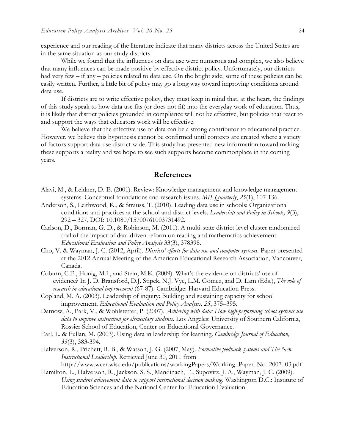experience and our reading of the literature indicate that many districts across the United States are in the same situation as our study districts.

While we found that the influences on data use were numerous and complex, we also believe that many influences can be made positive by effective district policy. Unfortunately, our districts had very few – if any – policies related to data use. On the bright side, some of these policies can be easily written. Further, a little bit of policy may go a long way toward improving conditions around data use.

If districts are to write effective policy, they must keep in mind that, at the heart, the findings of this study speak to how data use fits (or does not fit) into the everyday work of education. Thus, it is likely that district policies grounded in compliance will not be effective, but policies that react to and support the ways that educators work will be effective.

We believe that the effective use of data can be a strong contributor to educational practice. However, we believe this hypothesis cannot be confirmed until contexts are created where a variety of factors support data use district-wide. This study has presented new information toward making these supports a reality and we hope to see such supports become commonplace in the coming years.

# **References**

- Alavi, M., & Leidner, D. E. (2001). Review: Knowledge management and knowledge management systems: Conceptual foundations and research issues. *MIS Quarterly*, *25*(1), 107-136.
- Anderson, S., Leithwood, K., & Strauss, T. (2010). Leading data use in schools: Organizational conditions and practices at the school and district levels. *Leadership and Policy in Schools, 9*(3), 292 – 327, DOI: 10.1080/15700761003731492.
- Carlson, D., Borman, G. D., & Robinson, M. (2011). A multi-state district-level cluster randomized trial of the impact of data-driven reform on reading and mathematics achievement. *Educational Evaluation and Policy Analysis* 33(3), 378398.
- Cho, V. & Wayman, J. C. (2012, April). *Districts' efforts for data use and computer systems.* Paper presented at the 2012 Annual Meeting of the American Educational Research Association, Vancouver, Canada.
- Coburn, C.E., Honig, M.I., and Stein, M.K. (2009). What's the evidence on districts' use of evidence? In J. D. Bransford, D.J. Stipek, N.J. Vye, L.M. Gomez, and D. Lam (Eds.), *The role of research in educational improvement* (67-87). Cambridge: Harvard Education Press.
- Copland, M. A. (2003). Leadership of inquiry: Building and sustaining capacity for school improvement. *Educational Evaluation and Policy Analysis, 25*, 375–395.
- Datnow, A., Park, V., & Wohlstetter, P. (2007). *Achieving with data: How high-performing school systems use data to improve instruction for elementary students.* Los Angeles: University of Southern California, Rossier School of Education, Center on Educational Governance.
- Earl, L. & Fullan, M. (2003). Using data in leadership for learning. *Cambridge Journal of Education, 33*(3), 383-394.
- Halverson, R., Prichett, R. B., & Watson, J. G. (2007, May). *Formative feedback systems and The New Instructional Leadership*. Retrieved June 30, 2011 from http://www.wcer.wisc.edu/publications/workingPapers/Working\_Paper\_No\_2007\_03.pdf
- Hamilton, L., Halverson, R., Jackson, S. S., Mandinach, E., Supovitz, J. A., Wayman, J. C. (2009). *Using student achievement data to support instructional decision making*. Washington D.C.: Institute of Education Sciences and the National Center for Education Evaluation.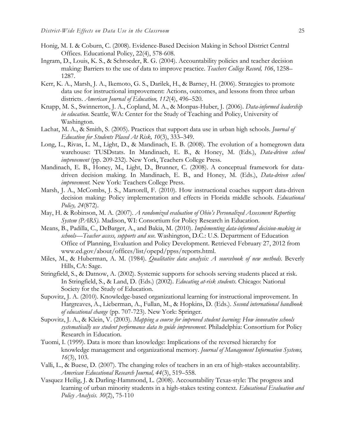- Honig, M. I. & Coburn, C. (2008). Evidence-Based Decision Making in School District Central Offices. Educational Policy, 22(4), 578-608.
- Ingram, D., Louis, K. S., & Schroeder, R. G. (2004). Accountability policies and teacher decision making: Barriers to the use of data to improve practice. *Teachers College Record, 106*, 1258– 1287.
- Kerr, K. A., Marsh, J. A., Ikemoto, G. S., Darilek, H., & Barney, H. (2006). Strategies to promote data use for instructional improvement: Actions, outcomes, and lessons from three urban districts. *American Journal of Education, 112*(4), 496–520.
- Knapp, M. S., Swinnerton, J. A., Copland, M. A., & Monpas-Huber, J. (2006). *Data-informed leadership in education*. Seattle, WA: Center for the Study of Teaching and Policy, University of Washington.
- Lachat, M. A., & Smith, S. (2005). Practices that support data use in urban high schools. *Journal of Education for Students Placed At Risk, 10*(3), 333–349*.*
- Long, L., Rivas, L. M., Light, D., & Mandinach, E. B. (2008). The evolution of a homegrown data warehouse: TUSDstats. In Mandinach, E. B., & Honey, M. (Eds.), *Data-driven school improvement* (pp. 209-232). New York, Teachers College Press.
- Mandinach, E. B., Honey, M., Light, D., Brunner, C. (2008). A conceptual framework for datadriven decision making. In Mandinach, E. B., and Honey, M. (Eds.), *Data-driven school improvement.* New York: Teachers College Press.
- Marsh, J. A., McCombs, J. S., Martorell, F. (2010). How instructional coaches support data-driven decision making: Policy implementation and effects in Florida middle schools. *Educational Policy, 24*(872).
- May, H. & Robinson, M. A. (2007). *A randomized evaluation of Ohio's Personalized Assessment Reporting System (PARS).* Madison, WI: Consortium for Policy Research in Education.
- Means, B., Padilla, C., DeBarger, A., and Bakia, M. (2010). *Implementing data-informed decision-making in schools—Teacher access, supports and use.* Washington, D.C.: U.S. Department of Education Office of Planning, Evaluation and Policy Development. Retrieved February 27, 2012 from www.ed.gov/about/offices/list/opepd/ppss/reports.html.
- Miles, M., & Huberman, A. M. (1984). *Qualitative data analysis: A sourcebook of new methods.* Beverly Hills, CA: Sage.
- Stringfield, S., & Datnow, A. (2002). Systemic supports for schools serving students placed at risk. In Stringfield, S., & Land, D. (Eds.) (2002). *Educating at-risk students.* Chicago: National Society for the Study of Education.
- Supovitz, J. A. (2010). Knowledge-based organizational learning for instructional improvement. In Hargreaves, A., Lieberman, A., Fullan, M., & Hopkins, D. (Eds.). *Second international handbook of educational change* (pp. 707-723). New York: Springer.
- Supovitz, J. A., & Klein, V. (2003). *Mapping a course for improved student learning: How innovative schools systematically use student performance data to guide improvement*. Philadelphia: Consortium for Policy Research in Education.
- Tuomi, I. (1999). Data is more than knowledge: Implications of the reversed hierarchy for knowledge management and organizational memory. *Journal of Management Information Systems, 16*(3), 103.
- Valli, L., & Buese, D. (2007). The changing roles of teachers in an era of high-stakes accountability. *American Educational Research Journal, 44*(3), 519–558.
- Vasquez Heilig, J. & Darling-Hammond, L. (2008). Accountability Texas-style: The progress and learning of urban minority students in a high-stakes testing context. *Educational Evaluation and Policy Analysis. 30*(2), 75-110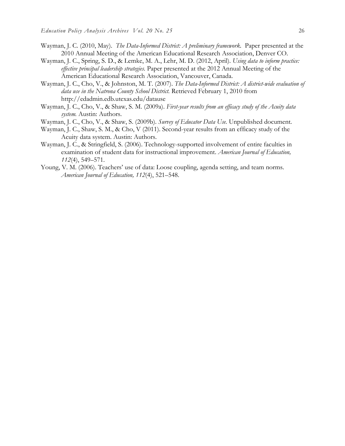- Wayman, J. C. (2010, May). *The Data-Informed District: A preliminary framework.* Paper presented at the 2010 Annual Meeting of the American Educational Research Association, Denver CO.
- Wayman, J. C., Spring, S. D., & Lemke, M. A., Lehr, M. D. (2012, April). *Using data to inform practice: effective principal leadership strategies.* Paper presented at the 2012 Annual Meeting of the American Educational Research Association, Vancouver, Canada.
- Wayman, J. C., Cho, V., & Johnston, M. T. (2007). *The Data-Informed District: A district-wide evaluation of data use in the Natrona County School District.* Retrieved February 1, 2010 from http://edadmin.edb.utexas.edu/datause
- Wayman, J. C., Cho, V., & Shaw, S. M. (2009a). *First-year results from an efficacy study of the Acuity data system.* Austin: Authors.
- Wayman, J. C., Cho, V., & Shaw, S. (2009b). *Survey of Educator Data Use.* Unpublished document*.*
- Wayman, J. C., Shaw, S. M., & Cho, V (2011). Second-year results from an efficacy study of the Acuity data system. Austin: Authors.
- Wayman, J. C., & Stringfield, S. (2006). Technology-supported involvement of entire faculties in examination of student data for instructional improvement. *American Journal of Education, 112*(4), 549–571.
- Young, V. M. (2006). Teachers' use of data: Loose coupling, agenda setting, and team norms. *American Journal of Education, 112*(4), 521–548.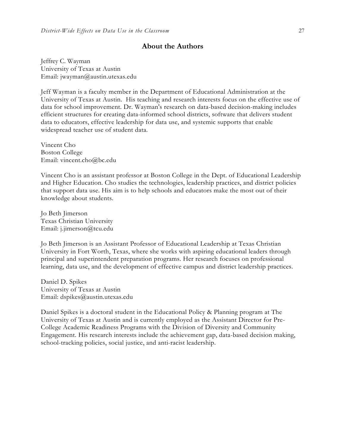# **About the Authors**

Jeffrey C. Wayman University of Texas at Austin Email: jwayman@austin.utexas.edu

Jeff Wayman is a faculty member in the Department of Educational Administration at the University of Texas at Austin. His teaching and research interests focus on the effective use of data for school improvement. Dr. Wayman's research on data-based decision-making includes efficient structures for creating data-informed school districts, software that delivers student data to educators, effective leadership for data use, and systemic supports that enable widespread teacher use of student data.

Vincent Cho Boston College Email: vincent.cho@bc.edu

Vincent Cho is an assistant professor at Boston College in the Dept. of Educational Leadership and Higher Education. Cho studies the technologies, leadership practices, and district policies that support data use. His aim is to help schools and educators make the most out of their knowledge about students.

Jo Beth Jimerson Texas Christian University Email: j.jimerson@tcu.edu

Jo Beth Jimerson is an Assistant Professor of Educational Leadership at Texas Christian University in Fort Worth, Texas, where she works with aspiring educational leaders through principal and superintendent preparation programs. Her research focuses on professional learning, data use, and the development of effective campus and district leadership practices.

Daniel D. Spikes University of Texas at Austin Email: dspikes@austin.utexas.edu

Daniel Spikes is a doctoral student in the Educational Policy & Planning program at The University of Texas at Austin and is currently employed as the Assistant Director for Pre-College Academic Readiness Programs with the Division of Diversity and Community Engagement. His research interests include the achievement gap, data-based decision making, school-tracking policies, social justice, and anti-racist leadership.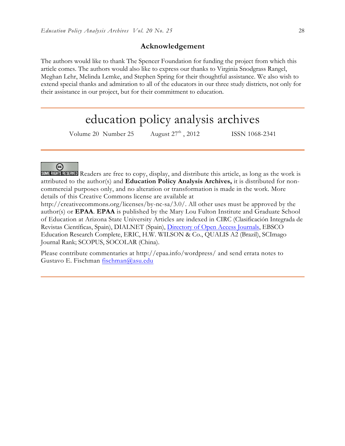# **Acknowledgement**

The authors would like to thank The Spencer Foundation for funding the project from which this article comes. The authors would also like to express our thanks to Virginia Snodgrass Rangel, Meghan Lehr, Melinda Lemke, and Stephen Spring for their thoughtful assistance. We also wish to extend special thanks and admiration to all of the educators in our three study districts, not only for their assistance in our project, but for their commitment to education.

# education policy analysis archives

Volume 20 Number 25 August 27<sup>th</sup>, 2012 ISSN 1068-2341

ල SOME RIGHTS RESERVED Readers are free to copy, display, and distribute this article, as long as the work is attributed to the author(s) and **Education Policy Analysis Archives,** it is distributed for noncommercial purposes only, and no alteration or transformation is made in the work. More details of this Creative Commons license are available at

http://creativecommons.org/licenses/by-nc-sa/3.0/. All other uses must be approved by the author(s) or **EPAA**. **EPAA** is published by the Mary Lou Fulton Institute and Graduate School of Education at Arizona State University Articles are indexed in CIRC (Clasificación Integrada de Revistas Científicas, Spain), DIALNET (Spain), Directory of Open Access Journals, EBSCO Education Research Complete, ERIC, H.W. WILSON & Co., QUALIS A2 (Brazil), SCImago Journal Rank; SCOPUS, SOCOLAR (China).

Please contribute commentaries at http://epaa.info/wordpress/ and send errata notes to Gustavo E. Fischman fischman@asu.edu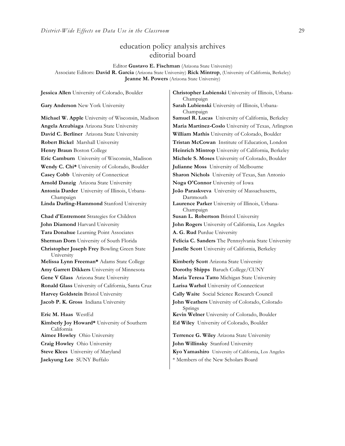# education policy analysis archives editorial board

Editor **Gustavo E. Fischman** (Arizona State University) Associate Editors: **David R. Garcia** (Arizona State University) **Rick Mintrop**, (University of California, Berkeley) **Jeanne M. Powers** (Arizona State University)

**Gary Anderson** New York University **Sarah Lubienski** University of Illinois, Urbana-**David C. Berliner** Arizona State University **William Mathis** University of Colorado, Boulder **Robert Bickel** Marshall University **Tristan McCowan** Institute of Education, London **Eric Camburn** University of Wisconsin, Madison **Michele S. Moses** University of Colorado, Boulder **Wendy C. Chi\*** University of Colorado, Boulder **Julianne Moss** University of Melbourne **Casey Cobb** University of Connecticut **Sharon Nichols** University of Texas, San Antonio **Arnold Danzig** Arizona State University **Noga O'Connor** University of Iowa **Antonia Darder** University of Illinois, Urbana-Champaign **Linda Darling-Hammond** Stanford University **Laurence Parker** University of Illinois, Urbana-**Chad d'Entremont** Strategies for Children **Susan L. Robertson** Bristol University **John Diamond** Harvard University **John Rogers** University of California, Los Angeles **Tara Donahue** Learning Point Associates **A. G. Rud** Purdue University **Christopher Joseph Frey** Bowling Green State University **Melissa Lynn Freeman\*** Adams State College **Kimberly Scott** Arizona State University **Amy Garrett Dikkers** University of Minnesota **Dorothy Shipps** Baruch College/CUNY **Gene V Glass** Arizona State University **Maria Teresa Tatto** Michigan State University **Ronald Glass** University of California, Santa Cruz **Larisa Warhol** University of Connecticut **Harvey Goldstein** Bristol University **Cally Waite** Social Science Research Council **Jacob P. K. Gross** Indiana University **John Weathers** University of Colorado, Colorado **Eric M. Haas** WestEd **Kevin Welner** University of Colorado, Boulder **Kimberly Joy Howard\*** University of Southern California **Aimee Howley** Ohio University **Terrence G. Wiley** Arizona State University

**Jessica Allen** University of Colorado, Boulder **Christopher Lubienski** University of Illinois, Urbana-Champaign Champaign **Michael W. Apple** University of Wisconsin, Madison **Samuel R. Lucas** University of California, Berkeley **Angela Arzubiaga** Arizona State University **Maria Martinez-Coslo** University of Texas, Arlington **Henry Braun** Boston College **Heinrich Mintrop** University of California, Berkeley **João Paraskveva** University of Massachusetts, Dartmouth Champaign **Sherman Dorn** University of South Florida **Felicia C. Sanders** The Pennsylvania State University **Janelle Scott** University of California, Berkeley Springs **Ed Wiley** University of Colorado, Boulder **Craig Howley** Ohio University **John Willinsky** Stanford University

**Steve Klees** University of Maryland **Kyo Yamashiro** University of California, Los Angeles **Jaekyung Lee** SUNY Buffalo \* \* Members of the New Scholars Board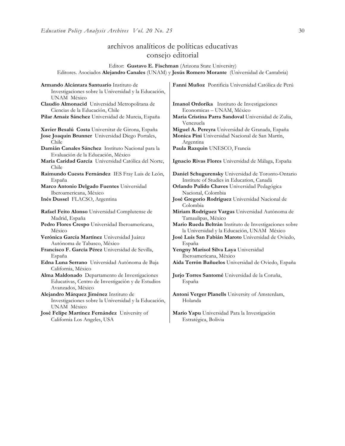# archivos analíticos de políticas educativas consejo editorial

Editor: **Gustavo E. Fischman** (Arizona State University) Editores. Asociados **Alejandro Canales** (UNAM) y **Jesús Romero Morante** (Universidad de Cantabria)

| Armando Alcántara Santuario Instituto de                                    | Fanni Muñoz Pontificia Universidad Católica de Perú                                                  |
|-----------------------------------------------------------------------------|------------------------------------------------------------------------------------------------------|
| Investigaciones sobre la Universidad y la Educación,                        |                                                                                                      |
| UNAM México                                                                 |                                                                                                      |
| Claudio Almonacid Universidad Metropolitana de                              | Imanol Ordorika Instituto de Investigaciones                                                         |
| Ciencias de la Educación, Chile                                             | Economicas - UNAM, México                                                                            |
| Pilar Arnaiz Sánchez Universidad de Murcia, España                          | Maria Cristina Parra Sandoval Universidad de Zulia,<br>Venezuela                                     |
| Xavier Besalú Costa Universitat de Girona, España                           | Miguel A. Pereyra Universidad de Granada, España                                                     |
| Jose Joaquin Brunner Universidad Diego Portales,<br>Chile                   | Monica Pini Universidad Nacional de San Martín,<br>Argentina                                         |
| Damián Canales Sánchez Instituto Nacional para la                           | Paula Razquin UNESCO, Francia                                                                        |
| Evaluación de la Educación, México                                          |                                                                                                      |
| María Caridad García Universidad Católica del Norte,<br>Chile               | Ignacio Rivas Flores Universidad de Málaga, España                                                   |
| Raimundo Cuesta Fernández IES Fray Luis de León,                            | Daniel Schugurensky Universidad de Toronto-Ontario                                                   |
| España                                                                      | Institute of Studies in Education, Canadá                                                            |
| Marco Antonio Delgado Fuentes Universidad                                   | Orlando Pulido Chaves Universidad Pedagógica                                                         |
| Iberoamericana, México                                                      | Nacional, Colombia                                                                                   |
| Inés Dussel FLACSO, Argentina                                               | José Gregorio Rodríguez Universidad Nacional de<br>Colombia                                          |
| Rafael Feito Alonso Universidad Complutense de<br>Madrid, España            | Miriam Rodríguez Vargas Universidad Autónoma de<br>Tamaulipas, México                                |
| Pedro Flores Crespo Universidad Iberoamericana,<br>México                   | Mario Rueda Beltrán Instituto de Investigaciones sobre<br>la Universidad y la Educación, UNAM México |
| Verónica García Martínez Universidad Juárez                                 | José Luis San Fabián Maroto Universidad de Oviedo,                                                   |
| Autónoma de Tabasco, México                                                 | España                                                                                               |
| Francisco F. García Pérez Universidad de Sevilla,                           | Yengny Marisol Silva Laya Universidad                                                                |
| España                                                                      | Iberoamericana, México                                                                               |
| Edna Luna Serrano Universidad Autónoma de Baja<br>California, México        | Aida Terrón Bañuelos Universidad de Oviedo, España                                                   |
| Alma Maldonado Departamento de Investigaciones                              | Jurio Torres Santomé Universidad de la Coruña,                                                       |
| Educativas, Centro de Investigación y de Estudios<br>Avanzados, México      | España                                                                                               |
| Alejandro Márquez Jiménez Instituto de                                      | Antoni Verger Planells University of Amsterdam,                                                      |
| Investigaciones sobre la Universidad y la Educación,<br>UNAM México         | Holanda                                                                                              |
| José Felipe Martínez Fernández University of<br>California Los Angeles, USA | Mario Yapu Universidad Para la Investigación<br>Estratégica, Bolivia                                 |